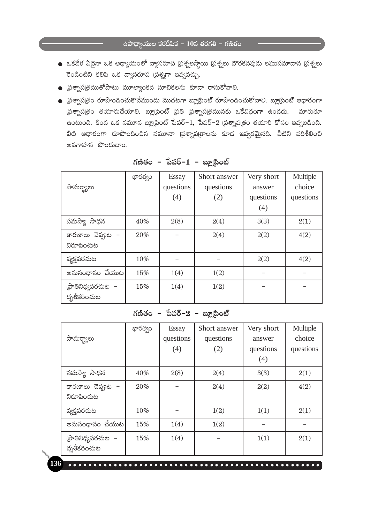- $\bullet$  ఒకవేళ ఏదైనా ఒక అధ్యాయంలో వ్యాసరూప (పశ్నలస్థాయి (పశ్నలు దొరకనపుడు లఘుసమాదాన (పశ్నలు రెండింటిని కలిపి ఒక వ్యాసరూప (పశ్నగా ఇవ్వవచ్చు.
- $\bullet$  [ప్రశ్నాప(తముతోపాటు మూల్యాంకన సూచికలను కూడా రాసుకోవాలి.
- $\bullet$  (పశ్నాప(తం రూపొందించుకొనేముందు మొదటగా బ్లూ(పింట్ రూపొందించుకోవాలి. బ్లూ(పింట్ ఆధారంగా స్రశ్నాప్రతం తయారుచేయాలి. బ్లాటింట్ స్రతి (పశ్నాప్రతమునకు ఒకేవిధంగా ఉండదు. మారుతూ  $\dot{\epsilon}$ ంటుంది. కింద ఒక నమూన బ్లూ(పింట్ పేపర్–1, పేపర్–2 (పశ్నాప(తం తయారి కోసం ఇవ్వబడింది. వీటి ఆధారంగా రూపొందించిన నమూనా (పశ్నాప(తాలను కూడ ఇవ్వడమైనది. వీటిని పరిశీలించి అవగాహన పొందుదాం.

| సామర్థ్యాలు                      | భారత్వం | <b>Essay</b><br>questions<br>(4) | Short answer<br>questions<br>(2) | Very short<br>answer<br>questions<br>(4) | Multiple<br>choice<br>questions |
|----------------------------------|---------|----------------------------------|----------------------------------|------------------------------------------|---------------------------------|
| సమస్యా సాధన                      | 40%     | 2(8)                             | 2(4)                             | 3(3)                                     | 2(1)                            |
| కారణాలు చెప్తూట -<br>నిరూపించుట  | 20%     |                                  | 2(4)                             | 2(2)                                     | 4(2)                            |
| వ్యక్తపరచుట                      | 10%     |                                  |                                  | 2(2)                                     | 4(2)                            |
| అనుసంధానం చేయుట                  | 15%     | 1(4)                             | 1(2)                             |                                          |                                 |
| ∣పాతినిధ్యపరచుట −<br>దృశీకరించుట | 15%     | 1(4)                             | 1(2)                             |                                          |                                 |

గణితం – పేపర్–1 – బ్లూటింట్

### గణితం – పేపర్– $2$  – బ్లూటింట్

| సామర్థ్యాలు                       | భారత్వం | <b>Essay</b><br>questions<br>(4) | Short answer<br>questions<br>(2) | Very short<br>answer<br>questions | Multiple<br>choice<br>questions |
|-----------------------------------|---------|----------------------------------|----------------------------------|-----------------------------------|---------------------------------|
|                                   |         |                                  |                                  | (4)                               |                                 |
| సమస్యా సాధన                       | 40%     | 2(8)                             | 2(4)                             | 3(3)                              | 2(1)                            |
| కారణాలు చెప్తుల -<br>నిరూపించుట   | 20%     |                                  | 2(4)                             | 2(2)                              | 4(2)                            |
| వ్యక్తపరచుట                       | 10%     |                                  | 1(2)                             | 1(1)                              | 2(1)                            |
| అనుసంధానం చేయుట                   | 15%     | 1(4)                             | 1(2)                             |                                   |                                 |
| (పాతినిధ్యపరచుట  –<br>దృశీకరించుట | 15%     | 1(4)                             |                                  | 1(1)                              | 2(1)                            |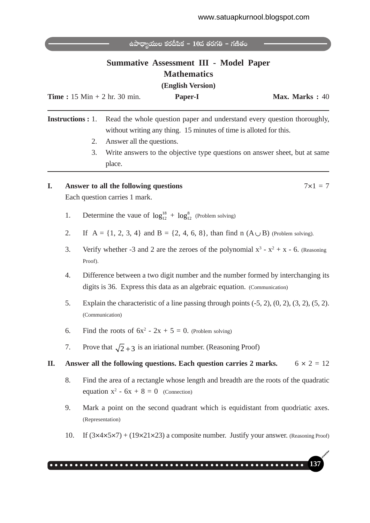|    |    | ఉపాధ్యాయుల కరదీపిక – $10$ వ తరగతి – గణితం<br><b>Summative Assessment III - Model Paper</b><br><b>Mathematics</b><br>(English Version)<br><b>Time</b> : $15 \text{ Min} + 2 \text{ hr}$ . $30 \text{ min}$ .<br>Max. Marks: 40<br>Paper-I                                                                   |
|----|----|------------------------------------------------------------------------------------------------------------------------------------------------------------------------------------------------------------------------------------------------------------------------------------------------------------|
|    |    | <b>Instructions</b> : 1.<br>Read the whole question paper and understand every question thoroughly,<br>without writing any thing. 15 minutes of time is alloted for this.<br>Answer all the questions.<br>2.<br>3.<br>Write answers to the objective type questions on answer sheet, but at same<br>place. |
| I. |    | $7 \times 1 = 7$<br>Answer to all the following questions<br>Each question carries 1 mark.                                                                                                                                                                                                                 |
|    | 1. | Determine the vaue of $\log_{12}^{18} + \log_{12}^{8}$ (Problem solving)                                                                                                                                                                                                                                   |
|    | 2. | If $A = \{1, 2, 3, 4\}$ and $B = \{2, 4, 6, 8\}$ , than find n $(A \cup B)$ (Problem solving).                                                                                                                                                                                                             |
|    | 3. | Verify whether -3 and 2 are the zeroes of the polynomial $x^3 - x^2 + x - 6$ . (Reasoning<br>Proof).                                                                                                                                                                                                       |
|    | 4. | Difference between a two digit number and the number formed by interchanging its<br>digits is 36. Express this data as an algebraic equation. (Communication)                                                                                                                                              |
|    | 5. | Explain the characteristic of a line passing through points $(-5, 2)$ , $(0, 2)$ , $(3, 2)$ , $(5, 2)$ .<br>(Communication)                                                                                                                                                                                |
|    | 6. | Find the roots of $6x^2 - 2x + 5 = 0$ . (Problem solving)                                                                                                                                                                                                                                                  |
|    | 7. | Prove that $\sqrt{2}+3$ is an iriational number. (Reasoning Proof)                                                                                                                                                                                                                                         |
| П. |    | $6 \times 2 = 12$<br>Answer all the following questions. Each question carries 2 marks.                                                                                                                                                                                                                    |
|    | 8. | Find the area of a rectangle whose length and breadth are the roots of the quadratic<br>equation $x^2$ - $6x + 8 = 0$ (Connection)                                                                                                                                                                         |
|    | 9. | Mark a point on the second quadrant which is equidistant from quodriatic axes.<br>(Representation)                                                                                                                                                                                                         |

10. If  $(3\times4\times5\times7) + (19\times21\times23)$  a composite number. Justify your answer. (Reasoning Proof)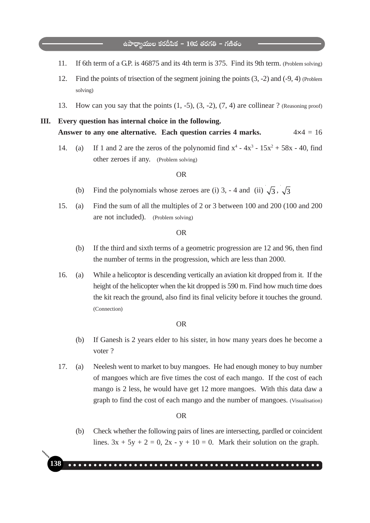- 11. If 6th term of a G.P. is 46875 and its 4th term is 375. Find its 9th term. (Problem solving)
- 12. Find the points of trisection of the segment joining the points (3, -2) and (-9, 4) (Problem solving)
- 13. How can you say that the points  $(1, -5)$ ,  $(3, -2)$ ,  $(7, 4)$  are collinear ? (Reasoning proof)

# **III. Every question has internal choice in the following.** Answer to any one alternative. Each question carries  $4$  marks.  $4 \times 4 = 16$

14. (a) If 1 and 2 are the zeros of the polynomid find  $x^4 - 4x^3 - 15x^2 + 58x - 40$ , find other zeroes if any. (Problem solving)

#### OR

- (b) Find the polynomials whose zeroes are (i) 3, 4 and (ii)  $\sqrt{3}$ ,  $\sqrt{3}$
- 15. (a) Find the sum of all the multiples of 2 or 3 between 100 and 200 (100 and 200 are not included). (Problem solving)

#### OR

- (b) If the third and sixth terms of a geometric progression are 12 and 96, then find the number of terms in the progression, which are less than 2000.
- 16. (a) While a helicoptor is descending vertically an aviation kit dropped from it. If the height of the helicopter when the kit dropped is 590 m. Find how much time does the kit reach the ground, also find its final velicity before it touches the ground. (Connection)

#### OR

- (b) If Ganesh is 2 years elder to his sister, in how many years does he become a voter ?
- 17. (a) Neelesh went to market to buy mangoes. He had enough money to buy number of mangoes which are five times the cost of each mango. If the cost of each mango is 2 less, he would have get 12 more mangoes. With this data daw a graph to find the cost of each mango and the number of mangoes. (Visualisation)

OR

(b) Check whether the following pairs of lines are intersecting, pardled or coincident lines.  $3x + 5y + 2 = 0$ ,  $2x - y + 10 = 0$ . Mark their solution on the graph.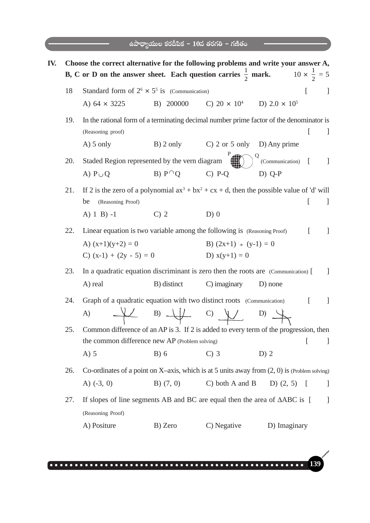|     |     |                                                                                      | ఉపాధ్యాయుల కరదీపిక – $10$ వ తరగతి – గణితం                            |                             |                                                                                                                    |
|-----|-----|--------------------------------------------------------------------------------------|----------------------------------------------------------------------|-----------------------------|--------------------------------------------------------------------------------------------------------------------|
| IV. |     |                                                                                      |                                                                      |                             | Choose the correct alternative for the following problems and write your answer A,                                 |
|     |     |                                                                                      |                                                                      |                             | <b>B, C</b> or <b>D</b> on the answer sheet. Each question carries $\frac{1}{2}$ mark. $10 \times \frac{1}{2} = 5$ |
|     | 18  | Standard form of $2^6 \times 5^5$ is (Communication)                                 |                                                                      |                             | $\left[ \right]$<br>$\perp$                                                                                        |
|     |     | A) $64 \times 3225$                                                                  | B) 200000                                                            | C) $20 \times 10^4$         | D) 2.0 $\times$ 10 <sup>5</sup>                                                                                    |
|     | 19. | (Reasoning proof)                                                                    |                                                                      |                             | In the rational form of a terminating decimal number prime factor of the denominator is<br>$\mathbf{I}$            |
|     |     | $A)$ 5 only                                                                          | $B)$ 2 only                                                          | C) 2 or 5 only D) Any prime |                                                                                                                    |
|     | 20. | Staded Region represented by the vern diagram                                        |                                                                      |                             | (Communication)                                                                                                    |
|     |     | A) $P \cup Q$                                                                        | $B) P^{\cap} Q$                                                      | $C)$ P-Q                    | $D)$ Q-P                                                                                                           |
|     | 21. |                                                                                      |                                                                      |                             | If 2 is the zero of a polynomial $ax^3 + bx^2 + cx + d$ , then the possible value of 'd' will                      |
|     |     | be<br>(Reasoning Proof)                                                              |                                                                      |                             | $\perp$                                                                                                            |
|     |     | A) $1 \text{ B}$ ) $-1$                                                              | C <sub>2</sub>                                                       | $D)$ 0                      |                                                                                                                    |
|     | 22. | Linear equation is two variable among the following is (Reasoning Proof)             |                                                                      |                             | $\lceil$<br>1                                                                                                      |
|     |     | A) $(x+1)(y+2) = 0$                                                                  |                                                                      | B) $(2x+1) - (y-1) = 0$     |                                                                                                                    |
|     |     | C) $(x-1) + (2y - 5) = 0$                                                            |                                                                      | D) $x(y+1) = 0$             |                                                                                                                    |
|     | 23. | In a quadratic equation discriminant is zero then the roots are (Communication) [    |                                                                      |                             |                                                                                                                    |
|     |     | A) real                                                                              | B) distinct                                                          | C) imaginary                | D) none                                                                                                            |
|     | 24. | Graph of a quadratic equation with two distinct roots (Communication)                |                                                                      |                             | I                                                                                                                  |
|     |     | A)                                                                                   | $\frac{1}{\sqrt{2}}$ B) $\frac{1}{\sqrt{2}}$ C) $\frac{1}{\sqrt{2}}$ |                             | D) $\rightarrow$                                                                                                   |
|     | 25. |                                                                                      |                                                                      |                             | Common difference of an AP is 3. If 2 is added to every term of the progression, then                              |
|     |     | the common difference new AP (Problem solving)                                       |                                                                      |                             | L<br>$\mathbf{I}$                                                                                                  |
|     |     | $A)$ 5                                                                               | $B)$ 6                                                               | $C)$ 3                      | $D)$ 2                                                                                                             |
|     | 26. |                                                                                      |                                                                      |                             | Co-ordinates of a point on X-axis, which is at 5 units away from $(2, 0)$ is (Problem solving)                     |
|     |     | A) $(-3, 0)$                                                                         | B) $(7, 0)$                                                          | $C)$ both A and B           | D) $(2, 5)$ [<br>J                                                                                                 |
|     | 27. | If slopes of line segments AB and BC are equal then the area of $\triangle ABC$ is [ |                                                                      |                             | $\perp$                                                                                                            |
|     |     | (Reasoning Proof)                                                                    |                                                                      |                             |                                                                                                                    |
|     |     | A) Positure                                                                          | B) Zero                                                              | C) Negative                 | D) Imaginary                                                                                                       |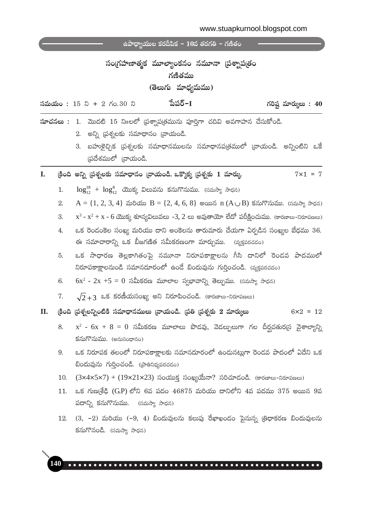|    |     | ఉపాధ్యాయుల కరదిపిక – 10వ తరగతి – గణితం                                                                                                                                                                                    |
|----|-----|---------------------------------------------------------------------------------------------------------------------------------------------------------------------------------------------------------------------------|
|    |     | సంగ్రహణాత్మక మూల్యాంకనం నమూనా (పశ్నాప[తం<br>గణితము<br>(తెలుగు మాధ్యమము)                                                                                                                                                   |
|    |     | పేపర్−I<br>గరిష్ట మార్ములు : 40<br><b>సమయం:</b> 15 ని + 2 గం.30 ని                                                                                                                                                        |
|    |     | సూచనలు : 1. మొదటి 15 నిπలలో (పశ్నాప(తమును పూర్తిగా చదివి అవగాహన చేసుకోండి.<br>అన్ని (పశ్నలకు సమాధానం (వాయండి.<br>2.<br>బహుకైచ్చిక (పశ్నలకు సమాధానములను సమాధానప(తములో (వాయండి. అన్నింటిని ఒకే<br>3.<br>స్రదేశములో (వాయండి. |
| I. |     | క్రింది అన్ని ప్రశ్నలకు సమాధానం [వాయండి. ఒక్కొక్క [పశ్నకు 1 మార్కు<br>$7 \times 1 = 7$                                                                                                                                    |
|    | 1.  | $\log_{12}^{18} + \log_{12}^{8}$ యొక్క విలువను కనుగొనుము. (సమస్యా సాధన)                                                                                                                                                   |
|    | 2.  | $A = \{1, 2, 3, 4\}$ మరియు $B = \{2, 4, 6, 8\}$ అయిన $n(A \cup B)$ కనుగొనుము. (సమస్యా సాధన)                                                                                                                               |
|    | 3.  | $x^3 - x^2 + x - 6$ యొక్క శూన్యవిలువలు -3, 2 లు అవుతాయో లేదో పరీక్షించుము. (కారణాలు–నిరూపణలు)                                                                                                                             |
|    | 4.  | ఒక రెండంకెల సంఖ్య మరియు దాని అంకెలను తారుమారు చేయగా ఏర్పడిన సంఖ్యల బేధము 36.<br>ఈ సమాచారాన్ని ఒక బీజగణిత సమీకరణంగా మార్చుము. (వ్యక్తపరచడం)                                                                                |
|    | 5.  | ఒక సాధారణ తెల్లకాగితంపై నమూనా నిరూపకాక్షాలను గీసి దానిలో రెండవ పాదములో<br>నిరూపకాక్షాలనుండి సమానదూరంలో ఉండే బిందువును గుర్తించండి. (వ్యక్తపరచడం)                                                                          |
|    | 6.  | $6x^2$ - $2x +5 = 0$ సమీకరణ మూలాల స్వభావాన్ని తెల్పుము. (సమస్యా సాధన)                                                                                                                                                     |
|    | 7.  | $\sqrt{2}+3$ ఒక కరణీయసంఖ్య అని నిరూపించండి. (కారణాలు-నిరూపణలు)                                                                                                                                                            |
| П. |     | క్రింది (పశ్నలన్నింటికి సమాధానములు (వాయండి. (పతి (పశ్నకు 2 మార్కులు<br>$6x2 = 12$                                                                                                                                         |
|    | 8.  | $x^2$ - $6x + 8 = 0$ సమీకరణ మూలాలు పొడవు, వెడల్పులుగా గల దీర్ఘచతుర(స వైశాల్యాన్ని<br>కనుగొనుము. (అనుసంధానం)                                                                                                               |
|    | 9.  | ఒక నిరూపక తలంలో నిరూపకాక్షాలకు సమానదూరంలో ఉందునట్లుగా రెండవ పాదంలో ఏదేని ఒక<br>బిందువును గుర్తించండి. (ప్రాతినిధ్యపరచడం)                                                                                                  |
|    | 10. | $(3\times4\times5\times7) + (19\times21\times23)$ సంయుక్త సంఖ్యయేనా? సరిచూడండి. (కారణాలు-నిరూపణలు)                                                                                                                        |
|    | 11. | ఒక గుణ్మశేఢి (G.P) లోని 6వ పదం 46875 మరియు దానిలోని 4వ పదము 375 అయిన 9వ<br>పదాన్ని కనుగొనుము. (సమస్యా సాధన)                                                                                                               |
|    | 12. | (3, –2) మరియు (–9, 4) బిందువులను కలుపు రేఖాఖందం పైనున్న త్రిధాకరణ బిందువులను<br>కనుగొనండి. (సమస్యా సాధన)                                                                                                                  |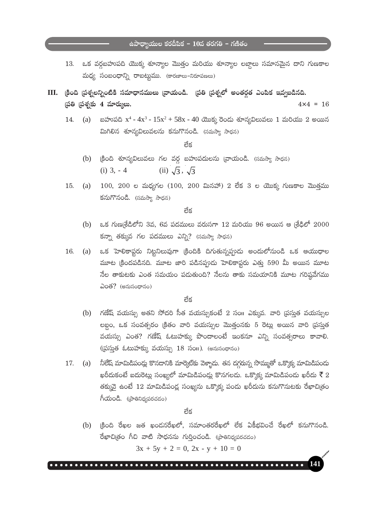$\frac{1}{3}$ ఉపాధ్యాయుల కరదీపిక –  $10$ వ తరగతి – గణితం

- ఒక వర్గబహుపది యొక్క శూన్యాల మొత్తం మరియు శూన్యాల లబ్దాలు సమానమైన దాని గుణకాల 13. మధ్య సంబంధాన్ని రాబట్టుము. (కారణాలు-నిరూపణలు)
- III. క్రింది ప్రశ్నలన్నింటికి సమాధానములు [వాయండి. [పతి [పశ్నలో అంతర్గత ఎంపిక ఇవ్వబడినది. (పతి (పశ్నకు 4 మార్కులు.  $4 \times 4 = 16$ 
	- (a) బహుపది x<sup>4</sup> 4x<sup>3</sup>  $15x^2 + 58x$  40 యొక్క రెండు శూన్యవిలువలు 1 మరియు 2 అయిన 14. మిగిలిన శూన్యవిలువలను కనుగొనండి. (సమస్యా సాధన)

ನೆ≾

- (b) (కింది శూన్యవిలువలు గల వర్గ బహుపదులను [వాయండి. (సమస్యా సాధన) (ii)  $\sqrt{3}$ ,  $\sqrt{3}$  $(i)$  3.  $-4$
- $100, 200$  ల మధ్యగల ( $100, 200$  మినహా) 2 లేక 3 ల యొక్క గుణకాల మొత్తము 15.  $(a)$ కనుగొనండి. (సమస్యా సాధన)

నేక

- (b) ఒక గుణ(శేడిలోని 3వ, 6వ పదములు వరుసగా 12 మరియు 96 అయిన ఆ (శేఢిలో  $2000$ కన్నా తక్కువ గల పదములు ఎన్ని? (సమస్యా సాధన)
- 16. ్ ఒక హెలికాప్టరు నిట్టనిలువుగా (కిందికి దిగుతున్నప్పుడు అందులోనుండి ఒక ఆయుధాల  $\left( a\right)$ మూట (కిందపడినది. మూట జారి పడినప్పుడు హెలికాప్టరు ఎత్తు 590 మీ అయిన మూట నేల తాకుటకు ఎంత సమయం పడుతుంది? నేలను తాకు సమయానికి మూట గరిష్ఠవేగము  $\partial$ 0లో? (అనుసంధానం)

లేక

- (b) గణేష్ వయస్సు అతని సోదరి సీత వయస్సుకంటే 2 సం။ ఎక్కువ. వారి (పసుత వయస్సుల లబ్ధం, ఒక సంవత్సరం క్రితం వారి వయస్సుల మొత్తంనకు 5 రెట్లు అయిన వారి (పసుత వయస్సు ఎంత? గణేష్ ఓటుహక్కు పొందాలంటే ఇంకనూ ఎన్ని సంవత్సరాలు కావాలి. (ప్రస్తుత ఓటుహక్కు వయస్సు 18 సంగ). (అనుసంధానం)
- (a) నీలేష్ మామిడిపండ్లు కొనడానికి మార్కెట్కు వెళ్ళాదు. తన దగ్గరున్న సొమ్ముతో ఒక్కొక్క మామిడిపందు 17. ఖరీదుకంటే ఐదురెట్లు సంఖ్యలో మామిడిపండ్లు కొనగలడు. ఒక్కొక్క మామిడిపండు ఖరీదు ₹ే $2$ తక్కువై ఉంటే 12 మామిడిపండ్ల సంఖ్యను ఒక్కొక్క పండు ఖరీదును కనుగొనుటకు రేఖాచిత్రం  $\hat{\Lambda}$ యండి. (బాతినిధ్యపరచడం)

లేక

్రకింది రేఖల జత ఖండనరేఖలో, సమాంతరరేఖలో లేక ఏకీభవించే రేఖలో కనుగొనండి.  $(b)$ రేఖాచిత్రం గీచి వాటి సాధనను గుర్తించండి. (ప్రాతినిధ్యపరచడం)

 $3x + 5y + 2 = 0$ ,  $2x - y + 10 = 0$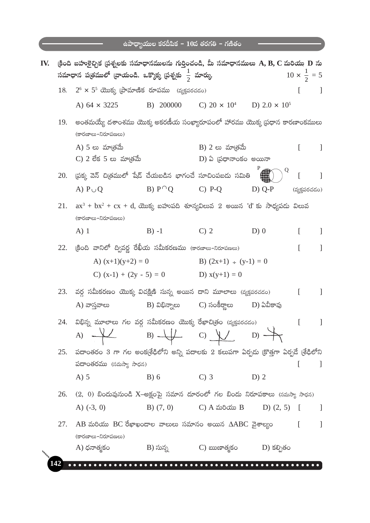|     |     |                                                                                                                                                                     | ఉపాధ్యాయుల కరదీపిక – $10$ వ తరగతి – గణితం |                                                     |               |                             |
|-----|-----|---------------------------------------------------------------------------------------------------------------------------------------------------------------------|-------------------------------------------|-----------------------------------------------------|---------------|-----------------------------|
| IV. |     | (కింది బహుకైచ్చిక (పశ్నలకు సమాధానములను గుర్తించండి, మీ సమాధానములు $\bf A, B, C$ మరియు $\bf D$ ను<br>సమాధాన పత్రములో [వాయండి. ఒక్కొక్క [పశ్నకు $\frac{1}{2}$ మార్కు. |                                           |                                                     |               | $10 \times \frac{1}{2} = 5$ |
|     | 18. | $2^6 \times 5^5$ యొక్క (పామాణిక రూపము (వృక్తపరచడం)                                                                                                                  |                                           |                                                     |               |                             |
|     |     | A) $64 \times 3225$                                                                                                                                                 | B) 200000                                 | C) $20 \times 10^4$ D) $2.0 \times 10^5$            |               |                             |
|     | 19. | అంతమయ్యే దశాంశము యొక్క అకరణీయ సంఖ్యారూపంలో హారము యొక్క ప్రధాన కారణాంకములు<br>(కారణాలు-నిరూపణలు)                                                                     |                                           |                                                     |               |                             |
|     |     | A) 5 లు మాత్రమే<br>$C$ ) 2 లేక 5 లు మా(తమే                                                                                                                          |                                           | $B)$ 2 లు మా(తమే<br>$D$ ) ఏ (పధానాంకం అయినా         |               | L<br>J.                     |
|     |     | 20. (పక్క వెన్ చిత్రములో షేడ్ చేయబడిన భాగంచే సూచింపబడు సమితి                                                                                                        |                                           |                                                     | Q             | I                           |
|     |     | A) $P \cup Q$                                                                                                                                                       | $B) P^{\cap}O$                            | $C)$ P-Q                                            | $D)$ Q-P      | (వ్యక్తపరచడం)               |
|     | 21. | $ax^3 + bx^2 + cx + d$ , యొక్క బహుపది శూన్యవిలువ 2 అయిన 'd' కు సాధ్యపడు విలువ<br>(కారణాలు-నిరూపణలు)                                                                 |                                           |                                                     |               |                             |
|     |     | $A)$ 1                                                                                                                                                              | $B) -1$                                   | $C$ ) 2                                             | D(0)          | L                           |
|     | 22. | (కింది వానిలో ద్వివర్ణ రేఖీయ సమీకరణము (కారణాలు–నిరూపణలు)                                                                                                            |                                           |                                                     |               | L                           |
|     |     | A) $(x+1)(y+2) = 0$                                                                                                                                                 |                                           | B) $(2x+1) - (y-1) = 0$                             |               |                             |
|     |     | C) $(x-1) + (2y - 5) = 0$                                                                                                                                           |                                           | D) $x(y+1) = 0$                                     |               |                             |
|     | 23. | వర్గ సమీకరణం యొక్క విచక్షిణి సున్న అయిన దాని మూలాలు (వ్యక్తపరచడం)                                                                                                   |                                           |                                                     |               | L                           |
|     |     | A) వాస్తవాలు                                                                                                                                                        | $B)$ విభిన్నాలు                           | C) సంకీర్ణాలు                                       | D) ఏవీకావు    |                             |
|     | 24. | విభిన్న మూలాలు గల వర్గ సమీకరణం యొక్క రేఖాచి(తం (వ్యక్తపరచడం)<br>A) $\begin{matrix} & & & \ \text{B)} & \text{C} & \text{C} & \text{D} & \rightarrow \end{matrix}$   |                                           |                                                     |               |                             |
|     | 25. | పదాంతరం 3 గా గల అంక(శేఢిలోని అన్ని పదాలకు 2 కలుపగా ఏర్పడు (కొత్తగా ఏర్పడే (శేఢిలోని                                                                                 |                                           |                                                     |               |                             |
|     |     | పదాంతరము (సమస్యా సాధన)                                                                                                                                              |                                           |                                                     |               |                             |
|     |     | $A)$ 5                                                                                                                                                              | $B)$ 6                                    | $C$ ) 3                                             | D) 2          |                             |
|     | 26. | $(2, \;\,0)$ బిందువునుండి $X$ –అక్షంపై సమాన దూరంలో గల బిందు నిరూపకాలు (సమస్యా సాధన)                                                                                 |                                           |                                                     |               |                             |
|     |     | A) $(-3, 0)$                                                                                                                                                        | $B)$ $(7, 0)$                             | $C)$ $A \omega \delta \omega B$                     | D) $(2, 5)$ [ |                             |
|     | 27. | $AB$ మరియు $BC$ రేఖాఖందాల వాలులు సమానం అయిన $\triangle ABC$ వైశాల్యం<br>(కారణాలు-నిరూపణలు)                                                                          |                                           |                                                     |               | $\Gamma$<br>$\Box$          |
|     |     | A) ధనాత్మకం                                                                                                                                                         |                                           | B) సున్న             C) ఋణాత్మకం         D) కల్పితం |               |                             |
|     | 142 |                                                                                                                                                                     |                                           |                                                     |               |                             |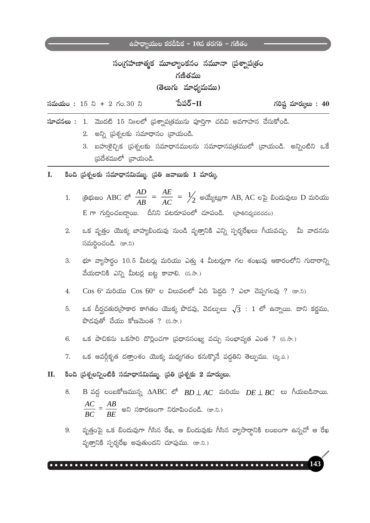# సంగ్రహణాత్మక మూల్యాంకనం నమూనా (పశ్నాప(తం గణితము (తెలుగు మాధ్యమము)

పేపర్– $\Pi$  $\delta$ మయం: 15 ని + 2 గం.30 ని

గరిష్ట మార్ములు:  $40$ 

 $\mathbf{\hat{w}}$ చనలు : 1. మొదటి 15 ని $\mathbf{p}$ లలో (పశ్నాప(తమును పూర్తిగా చదివి అవగాహన చేసుకోండి. 2. అన్ని ప్రశ్నలకు సమాధానం వ్రాయండి.

- 3. బహుళైచ్చిక (పశ్నలకు సమాధానములను సమాధానప(తములో (వాయండి. అన్నింటిని ఒకే స్రదేశములో వ్రాయండి.
- కింది (పశ్నలకు సమాధానమిమ్ము. (పతి జవాబుకు 1 మార్కు  $\mathbf{L}$ 
	- (తిభుజం ABC లో  $\frac{AD}{AB} = \frac{AE}{AC} = \frac{1}{2}$  అయ్యేట్లుగా AB, AC లపై బిందువులు D మరియు  $\mathbf{1}$ .  $E$  గా గుర్తించబడ్డాయి. దీనిని పటరూపంలో చూపండి. (ప్రాతినిథ్యపరచడం)
	- ఒక వృత్తం యొక్క బాహ్యబిందువు నుండి వృత్తానికి ఎన్ని స్పర్శరేఖలు గీయవచ్చు. మీ వాదనను  $2^{2}$  $\widetilde{\mathcal{N}}$ మర్థించండి. (కా.ని)
	- భూ వ్యాసార్థం 10.5 మీటర్లు మరియు ఎత్తు 4 మీటర్లుగా గల శంఖువు ఆకారంలోని గుడారాన్ని 3. వేయదానికి ఎన్ని మీటర్ల బట్ట కావాలి. (స.సా.)
	- $\cos 6^{\circ}$  మరియు  $\cos 60^{\circ}$  ల విలువలలో ఏది పెద్దది ? ఎలా చెప్పగలవు ? (కా.ని)  $4.$
	- ఒక దీర్ఘచతుర్నసాకార కాగితం యొక్క పొడవు, వెడల్పులు  $\sqrt{3}$ : 1 లో ఉన్నాయి. దాని కర్ణము, 5.  $\frac{1}{2}$ పోధుతో చేయు కోణమెంత ? (స.సా.)
	- ఒక పాచికను ఒకసారి దొర్లించగా (పధానసంఖ్య వచ్చు సంభావ్యత ఎంత ? (స.సా.) 6.
	- 7. ఒక ఆవర్గీకృత దత్తాంశం యొక్క మధ్యగతం కనుక్కొనే పద్ధతిని తెల్పుము. (వ్య.ప.)

కింది (పశ్నలన్నింటికి సమాధానమిమ్ము. (పతి (పశ్నకు 2 మార్కులు. П.

- B వద్ద లంబకోణమున్న  $\triangle ABC$  లో  $BD \perp AC$  మరియు  $DE \perp BC$  లు గీయబడినాయి. 8.  $\frac{AC}{BC} = \frac{AB}{BE}$  అని సకారణంగా నిరూపించండి. (కా.ని.)
- వృత్తంపై ఒక బిందువుగా గీసిన రేఖ, ఆ బిందువుకు గీసిన వ్యాసార్థానికి లంబంగా ఉన్నచో ఆ రేఖ 9. వృత్తానికి స్పర్శరేఖ అవుతుందని చూపుము. (కా.ని.)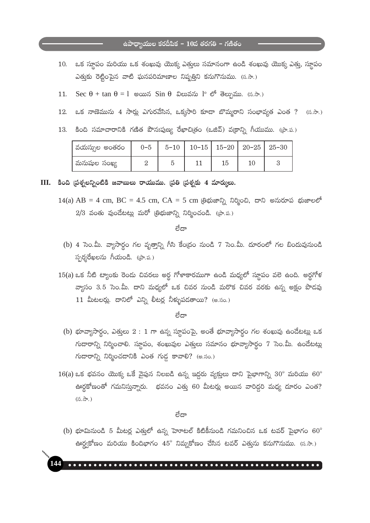# $\frac{1}{6}$ ఉపాధ్యాయుల కరదీపిక – 10వ తరగతి – గణితం

- ఒక స్థూపం మరియు ఒక శంఖువు యొక్క ఎత్తులు సమానంగా ఉండి శంఖువు యొక్క ఎత్తు, స్థూపం 10. ఎత్తుకు రెట్టింపైన వాటి ఘనపరిమాణాల నిష్పత్తిని కనుగొనుము. (స.సా.)
- $\sec \theta + \tan \theta = 1$  అయిన  $\sin \theta$  విలువను 1<sup>o</sup> లో తెల్పుము. (స.సా.)  $11.$
- ఒక నాణెమును 4 సార్లు ఎగురవేసిన, ఒక్కసారి కూడా బొమ్మరాని సంభావ్యత ఎంత ? 12.  $(5, \partial, \partial)$
- కింది సమాచారానికి గణిత పౌనఃపుణ్య రేఖాచిత్రం (ఒజివ్) వక్రాన్ని గీయుము. (ప్రా.ప.) 13.

| వయస్సుల అంతరం |  | $0-5$   $5-10$   $10-15$   $15-20$   $20-25$   $25-30$ |  |  |
|---------------|--|--------------------------------------------------------|--|--|
| మనుషుల సంఖ్య  |  |                                                        |  |  |

 $III.$  కింది (పశ్నలన్నింటికి జవాబులు రాయుము. (పతి (పశ్నకు 4 మార్కులు.

14(a) AB = 4 cm, BC = 4.5 cm, CA = 5 cm @ @ 2020, 00,000, 000 000000 \$  $2/3$  వంతు వుండేటట్లు మరో (తిభుజాన్ని నిర్మించండి. (పా.ప.)

ಣೆದ್

- (b) 4 సెం.మీ. వ్యాసార్థం గల వృత్తాన్ని గీసి కేంద్రం నుండి 7 సెం.మీ. దూరంలో గల బిందువునుండి స్పర్శరేఖలను గీయండి. (పా.ప.)
- $15(a)$  ఒక నీటి ట్యాంకు రెండు చివరలు అర్ధ గోళాకారముగా ఉండి మధ్యలో స్థూపం వలె ఉంది. అర్ధగోళ వ్యాసం 3.5 సెం.మీ. దాని మధ్యలో ఒక చివర నుండి మరొక చివర వరకు ఉన్న అక్షం పొడవు  $11$  మీటలర్లు. దానిలో ఎన్ని లీటర్ల నీళ్ళుపదతాయి? (అ.సం.)

ಣೆದ್

- (b) భూవ్యాసార్థం, ఎత్తులు  $2:1$  గా ఉన్న స్థూపంపై, అంతే భూవ్యాసార్థం గల శంఖువు ఉండేటట్లు ఒక గుడారాన్ని నిర్మించాలి. స్థూపం, శంఖువుల ఎత్తులు సమానం భూవ్యాసార్థం 7 సెం.మీ. ఉండేటట్లు  $\Delta$ గుడారాన్ని నిర్మించడానికి ఎంత గుడ్ల కావాలి? (అ.సం.)
- $16(a)$  ఒక భవనం యొక్క ఒకే వైపున నిలబడి ఉన్న ఇద్దరు వ్యక్తులు దాని పైభాగాన్ని  $30^{\circ}$  మరియు  $60^{\circ}$ ఊర్ధకోణంతో గమనిస్తున్నారు. భవనం ఎత్తు 60 మీటర్లు అయిన వారిద్దరి మధ్య దూరం ఎంత?  $(5, \partial, \partial)$

ಠೆದ್

(b) భూమినుండి 5 మీటర్ల ఎత్తులో ఉన్న హెూటల్ కిటికీనుండి గమనించిన ఒక టవర్ పైభాగం  $60^{\circ}$ ఊర్ధ్వకోణం మరియు కిందిభాగం 45° నిమ్నకోణం చేసిన టవర్ ఎత్తును కనుగొనుము. (స.సా.)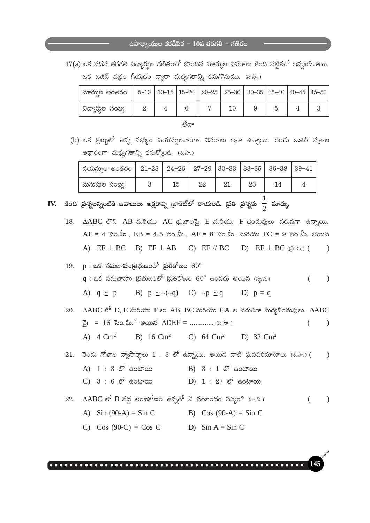$17(a)$  ఒక పదవ తరగతి విద్యార్థుల గణితంలో పొందిన మార్కుల వివరాలు కింది పట్టికలో ఇవ్వబడినాయి. ఒక ఒజివ్ వ(కం గీయడం ద్వారా మధ్యగతాన్ని కనుగొనుము. (స.సా.)

| ' మార్కుల అంతరం   5–10   10–15   15–20   20–25   25–30   30–35   35–40   $40$ – $45$   $45$ – $50$ |  |  |  |  |  |
|----------------------------------------------------------------------------------------------------|--|--|--|--|--|
| విద్యార్శల సంఖ్య                                                                                   |  |  |  |  |  |
|                                                                                                    |  |  |  |  |  |

(b) ఒక క్లబ్బులో ఉన్న సభ్యుల వయస్సులవారిగా వివరాలు ఇలా ఉన్నాయి. రెండు ఒజిల్ వక్రాల ఆధారంగా మధ్యగతాన్ని కనుక్కోండి. (స.సా.)

| ' వయస్సుల అంతరం   21–23   24–26   27–29   30–33   33–35   36–38   39–41 |    |    |    |  |
|-------------------------------------------------------------------------|----|----|----|--|
| మనుషుల సంఖ్య                                                            | 15 | 22 | 23 |  |

IV. కింది (పశ్నలన్నింటికి జవాబులు అక్షరాన్ని [బాకెట్లో రాయండి. [పతి [పశ్నకు  $\frac{1}{2}$  మార్కు

18. AABC లోని AB మరియు AC భుజాలపై E మరియు F బిందువులు వరుసగా ఉన్నాయి.  $AE = 4$  సెం.మీ.,  $EB = 4.5$  సెం.మీ.,  $AF = 8$  సెం.మీ. మరియు FC = 9 సెం.మీ. అయిన A) EF  $\perp$  BC B) EF  $\perp$  AB C) EF // BC D) EF  $\perp$  BC ((ab. as.) (  $\lambda$ 

 $19.$  p : ఒక సమబాహు(తిభుజంలో (పతికోణం  $60^{\circ}$  $q:$  ఒక సమబాహు (తిభుజంలో (పతికోణం  $60^{\circ}$  ఉండదు అయిన (వ్య.ప.)  $\lambda$  $\left($ A)  $q \approx p$  B)  $p \approx \sim (-q)$  C)  $\sim p \approx q$  D)  $p = q$ 

20. AABC లో D, E మరియు F లు AB, BC మరియు CA ల వరుసగా మధ్యబిందువులు. AABC నై11 = 16 సెం.మీ.<sup>2</sup> అయిన  $\triangle DEF =$  ............. (స.సా.)  $\overline{(\ }$  $\mathcal{E}$ A)  $4 \text{ Cm}^2$ B) 16 Cm<sup>2</sup> C) 64 Cm<sup>2</sup> D) 32 Cm<sup>2</sup>

- 21. రెండు గోళాల వ్యాసార్ధాలు  $1:3$  లో ఉన్నాయి. అయిన వాటి ఘనపరిమాణాలు (స.సా.) (  $\big)$  $(A)$  1 : 3  $\mathfrak{G}^6$  do  $\mathfrak{G}^6$ B) 3 : 1 లో ఉంటాయి  $C) 3 : 6$  లో ఉంటాయి  $D)$  1 : 27  $\mathfrak{G}^6$  ఉంటాయి
- $\triangle$ ABC లో B వద్ద లంబకోణం ఉన్నచో ఏ సంబంధం సత్యం? (కా.ని.) 22.  $\lambda$  $\left($ A) Sin  $(90-A) =$  Sin C B) Cos  $(90-A) =$ Sin C
	- C) Cos (90-C) = Cos C D)  $\sin A = \sin C$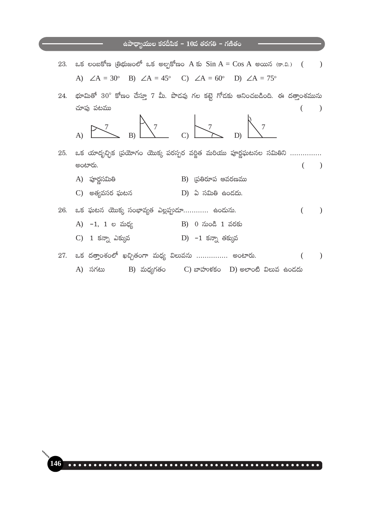- ಒక లంబకోణ (తిభుజంలో ఒక అల్పకోణం A కు  $Sin A = Cos A$  అయిన (కా.వి.) ( 23.  $\mathcal{L}$ A)  $\angle A = 30^{\circ}$  B)  $\angle A = 45^{\circ}$  C)  $\angle A = 60^{\circ}$  D)  $\angle A = 75^{\circ}$
- $24.$  భూమితో  $30^{\circ}$  కోణం చేస్తూ 7 మీ. పొడవు గల కట్టె గోడకు ఆనించబడింది. ఈ దత్తాంశమును చూపు పటము  $\rightarrow$  $\left($



- 25. ఒక యాదృచ్ఛిక ప్రయోగం యొక్క పరస్పర వర్ణిత మరియు పూర్ణఘటనల సమితిని ............... అంటారు.  $\rightarrow$  $\left($ 
	- A) పూర్ణసమితి B) (పతిరూప ఆవరణము C) అత్యవసర ఘటన D) ఏ సమితి ఉండదు.
- 26. ఒక ఘటన యొక్క సంభావ్యత ఎల్లప్పుడూ............ ఉందును.  $\lambda$  $\left($ A) -1, 1 ల మధ్య B) 0 నుండి 1 వరకు
	- C) 1 కన్నా ఎక్కువ D) −1 కన్నా తక్కువ
- $27.$  ఒక దత్తాంశంలో ఖచ్చితంగా మధ్య విలువను ............... అంటారు.  $\left($  $\mathcal{L}$ A) సగటు B) మధ్యగతం C) బాహుళకం D) అలాంటి విలువ ఉండదు

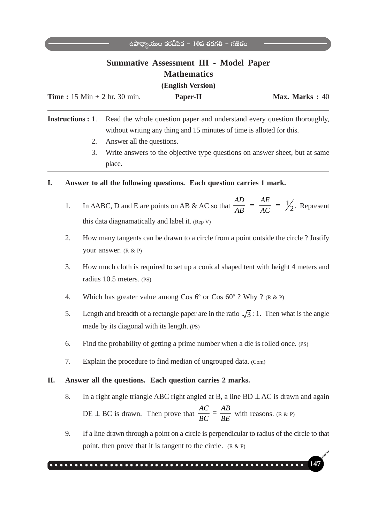# **Summative Assessment III - Model Paper Mathematics**

**(English Version)**

| <b>Time</b> : $15 \text{ Min} + 2 \text{ hr}$ . $30 \text{ min}$ . | <b>Paper-II</b> | Max. Marks: 40 |
|--------------------------------------------------------------------|-----------------|----------------|
|                                                                    |                 |                |

**Instructions :** 1. Read the whole question paper and understand every question thoroughly, without writing any thing and 15 minutes of time is alloted for this.

- 2. Answer all the questions.
- 3. Write answers to the objective type questions on answer sheet, but at same place.

### **I. Answer to all the following questions. Each question carries 1 mark.**

- 1. In  $\triangle ABC$ , D and E are points on AB & AC so that  $\frac{AD}{AB} = \frac{AE}{AC} = \frac{1}{2}$  $rac{AD}{AB} = \frac{AE}{AC} = \frac{1}{2}$ . Represent this data diagnamatically and label it. (Rep V)
- 2. How many tangents can be drawn to a circle from a point outside the circle ? Justify your answer. (R & P)
- 3. How much cloth is required to set up a conical shaped tent with height 4 meters and radius 10.5 meters. (PS)
- 4. Which has greater value among Cos  $6^{\circ}$  or Cos  $60^{\circ}$  ? Why ? (R & P)
- 5. Length and breadth of a rectangle paper are in the ratio  $\sqrt{3}$  : 1. Then what is the angle made by its diagonal with its length. (PS)
- 6. Find the probability of getting a prime number when a die is rolled once. (PS)
- 7. Explain the procedure to find median of ungrouped data. (Com)

#### **II. Answer all the questions. Each question carries 2 marks.**

- 8. In a right angle triangle ABC right angled at B, a line BD ⊥ AC is drawn and again DE  $\perp$  BC is drawn. Then prove that  $\frac{AC}{BC} = \frac{AB}{BE}$  $\overline{BC}$  =  $\overline{BE}$  with reasons. (R & P)
- 9. If a line drawn through a point on a circle is perpendicular to radius of the circle to that point, then prove that it is tangent to the circle.  $(R \& P)$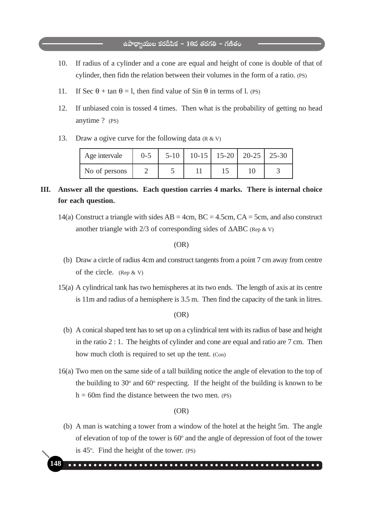- 10. If radius of a cylinder and a cone are equal and height of cone is double of that of cylinder, then fidn the relation between their volumes in the form of a ratio. (PS)
- 11. If Sec  $\theta$  + tan  $\theta$  = l, then find value of Sin  $\theta$  in terms of l. (PS)
- 12. If unbiased coin is tossed 4 times. Then what is the probability of getting no head anytime ? (PS)
- 13. Draw a ogive curve for the following data  $(R & V)$

| Age intervale | $0 - 5$ | $5-10$   10-15   15-20   20-25   25-30 |  |  |
|---------------|---------|----------------------------------------|--|--|
| No of persons |         |                                        |  |  |

# **III. Answer all the questions. Each question carries 4 marks. There is internal choice for each question.**

14(a) Construct a triangle with sides  $AB = 4cm$ ,  $BC = 4.5cm$ ,  $CA = 5cm$ , and also construct another triangle with  $2/3$  of corresponding sides of  $\triangle ABC$  (Rep & V)

(OR)

- (b) Draw a circle of radius 4cm and construct tangents from a point 7 cm away from centre of the circle. (Rep & V)
- 15(a) A cylindrical tank has two hemispheres at its two ends. The length of axis at its centre is 11m and radius of a hemisphere is 3.5 m. Then find the capacity of the tank in litres.

(OR)

- (b) A conical shaped tent has to set up on a cylindrical tent with its radius of base and height in the ratio 2 : 1. The heights of cylinder and cone are equal and ratio are 7 cm. Then how much cloth is required to set up the tent. (Con)
- 16(a) Two men on the same side of a tall building notice the angle of elevation to the top of the building to  $30^{\circ}$  and  $60^{\circ}$  respecting. If the height of the building is known to be  $h = 60$ m find the distance between the two men. (PS)

#### (OR)

 (b) A man is watching a tower from a window of the hotel at the height 5m. The angle of elevation of top of the tower is  $60^{\circ}$  and the angle of depression of foot of the tower is 45°. Find the height of the tower. (PS)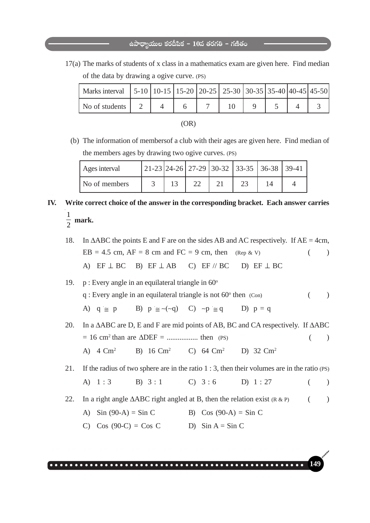17(a) The marks of students of x class in a mathematics exam are given here. Find median of the data by drawing a ogive curve. (PS)

| Marks interval   5-10   10-15   15-20   20-25   25-30   30-35   35-40   40-45   45-50 |  |  |  |  |  |
|---------------------------------------------------------------------------------------|--|--|--|--|--|
| No of students                                                                        |  |  |  |  |  |

| ۰.<br>× |  |  |
|---------|--|--|
|---------|--|--|

 (b) The information of membersof a club with their ages are given here. Find median of the members ages by drawing two ogive curves. (PS)

| Ages interval |  |  | $ 21-23 24-26 27-29 30-32 33-35 36-38 39-41$ |  |
|---------------|--|--|----------------------------------------------|--|
| No of members |  |  |                                              |  |

# **IV. Write correct choice of the answer in the corresponding bracket. Each answer carries** 1  $\frac{1}{2}$  mark.

- 18. In  $\triangle ABC$  the points E and F are on the sides AB and AC respectively. If AE = 4cm,  $EB = 4.5$  cm,  $AF = 8$  cm and  $FC = 9$  cm, then (Rep & V) () A) EF ⊥ BC B) EF ⊥ AB C) EF // BC D) EF ⊥ BC
- 19. p : Every angle in an equilateral triangle in  $60^\circ$  $q:$  Every angle in an equilateral triangle is not  $60^\circ$  then  $(Con)$  () A)  $q \ge p$  B)  $p \ge -(q-q)$  C) ~ $p \ge q$  D)  $p = q$
- 20. In a ΔABC are D, E and F are mid points of AB, BC and CA respectively. If ΔABC = 16 cm2 than are ΔDEF = ................. then (PS) ( ) A) 4 Cm2 B) 16 Cm2 C) 64 Cm2 D) 32 Cm2

21. If the radius of two sphere are in the ratio 1 : 3, then their volumes are in the ratio (PS) A)  $1:3$  B)  $3:1$  C)  $3:6$  D)  $1:27$  ()

- 22. In a right angle  $\triangle ABC$  right angled at B, then the relation exist (R & P) ()
	- A)  $\sin (90-A) = \sin C$  B)  $\cos (90-A) = \sin C$
	- C) Cos (90-C) = Cos C D) Sin A = Sin C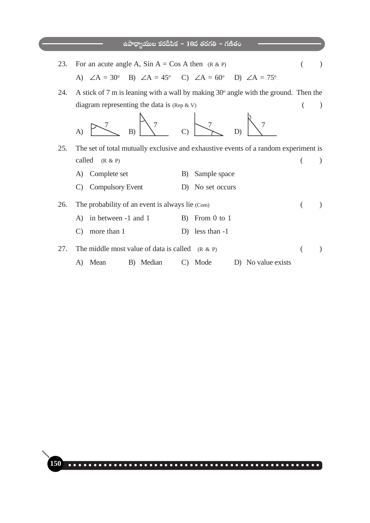# .<br>ఉపాధ్యాయుల కరదీపిక − 10వ తరగతి − గణితం 23. For an acute angle A, Sin  $A = \cos A$  then  $(R \& P)$  ( ) A)  $\angle A = 30^\circ$  B)  $\angle A = 45^\circ$  C)  $\angle A = 60^\circ$  D)  $\angle A = 75^\circ$ 24. A stick of 7 m is leaning with a wall by making  $30^{\circ}$  angle with the ground. Then the diagram representing the data is  $(\text{Rep } \& V)$  () A) B) C) D) 25. The set of total mutually exclusive and exhaustive events of a random experiment is  $called (R \& P)$  ( ) A) Complete set B) Sample space C) Compulsory Event D) No set occurs 26. The probability of an event is always lie (Com) ( ) A) in between -1 and 1 B) From 0 to 1 C) more than 1 D) less than -1 27. The middle most value of data is called  $(R & P)$  ( ) A) Mean B) Median C) Mode D) No value exists  $\mathcal{\mathcal{\mathcal{\mathcal{L}}}}$ 7  $\mathord{\mapsto}$ 7 <u>7</u> 7 7  $\mathcal{O}$

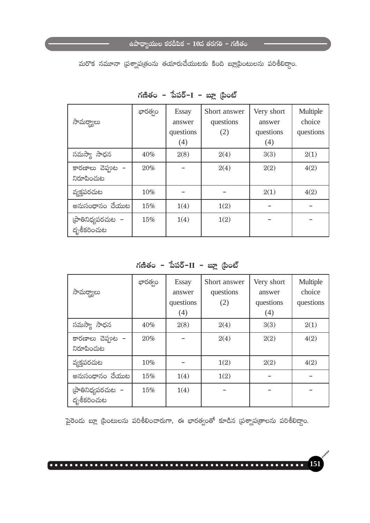మరొక నమూనా (పశ్నాపత్రంను తయారుచేయుటకు కింది బ్లాటింటులను పరిశీలిద్దాం.

| సామర్థ్యాలు                       | భారత్వం | <b>Essay</b><br>answer<br>questions<br>(4) | Short answer<br>questions<br>(2) | Very short<br>answer<br>questions<br>(4) | Multiple<br>choice<br>questions |
|-----------------------------------|---------|--------------------------------------------|----------------------------------|------------------------------------------|---------------------------------|
| సమస్యా సాధన                       | 40%     | 2(8)                                       | 2(4)                             | 3(3)                                     | 2(1)                            |
| కారణాలు చెప్తుల -<br>నిరూపించుట   | 20%     |                                            | 2(4)                             | 2(2)                                     | 4(2)                            |
| వ్యక్తపరచుట                       | 10%     |                                            |                                  | 2(1)                                     | 4(2)                            |
| అనుసంధానం చేయుట                   | 15%     | 1(4)                                       | 1(2)                             |                                          |                                 |
| (పాతినిధ్యపరచుట  –<br>దృశీకరించుట | 15%     | 1(4)                                       | 1(2)                             |                                          |                                 |

గణితం – పేపర్– $I$  – బ్లూ (పింట్

గణితం – పేపర్– $II$  – బ్లూ (పింట్

| సామర్థ్యాలు                       | భారత్వం | <b>Essay</b><br>answer<br>questions<br>(4) | Short answer<br>questions<br>(2) | Very short<br>answer<br>questions<br>(4) | Multiple<br>choice<br>questions |
|-----------------------------------|---------|--------------------------------------------|----------------------------------|------------------------------------------|---------------------------------|
| సమస్యా సాధన                       | 40%     | 2(8)                                       | 2(4)                             | 3(3)                                     | 2(1)                            |
| కారణాలు చెప్తుల -<br>నిరూపించుట   | 20%     |                                            | 2(4)                             | 2(2)                                     | 4(2)                            |
| వ్యక్తపరచుట                       | 10%     |                                            | 1(2)                             | 2(2)                                     | 4(2)                            |
| అనుసంధానం చేయుట                   | 15%     | 1(4)                                       | 1(2)                             |                                          |                                 |
| (పాతినిధ్యపరచుట  –<br>దృశీకరించుట | 15%     | 1(4)                                       |                                  |                                          |                                 |

పైరెండు బ్లూ (పింటులను పరిశీలించారుగా, ఈ భారత్వంతో కూడిన (పశ్నాప(తాలను పరిశీలిద్దాం.

151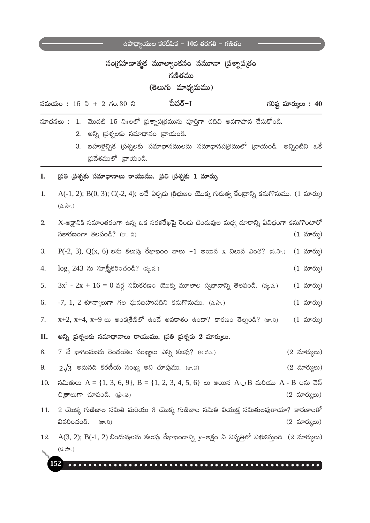# సంగ్రహణాత్మక మూల్యాంకనం నమూనా (పశ్నాప[తం గణితము

(తెలుగు మాధ్యమము)

| పేపర్−I<br>గరిష్ట మార్కులు: $40$<br><b>సమయం:</b> 15 ని + 2 గం.30 ని |  |  |  |
|---------------------------------------------------------------------|--|--|--|
|---------------------------------------------------------------------|--|--|--|

 $x$ **-చనలు :** 1. మొదటి 15 ని $10e^{6}$  (పశ్నాప(తమును పూర్తిగా చదివి అవగాహన చేసుకోండి.

2. అన్ని (పశ్నలకు సమాధానం (వాయండి.

- 3. బహుకైచ్చిక (పశ్నలకు సమాధానములను సమాధానప(తములో (వాయండి. అన్నింటిని ఒకే స్రదేశములో (వాయండి.
- L. (పతి (పశ్నకు సమాధానాలు రాయుము. (పతి (పశ్నకు 1 మార్కు
- $1.$  $A(-1, 2)$ ;  $B(0, 3)$ ;  $C(-2, 4)$ ; లచే ఏర్పడు త్రిభుజం యొక్క గురుత్వ కేంద్రాన్ని కనుగొనుము.  $(1 \text{ x}^2)$  $(5, \partial, \partial)$

| 2.     X-అక్షానికి సమాంతరంగా ఉన్న ఒక సరళరేఖపై రెండు బిందువుల మధ్య దూరాన్ని ఏవిధంగా కనుగొంటారో |  |  |            |
|-----------------------------------------------------------------------------------------------|--|--|------------|
| సకారణంగా తెలపండి? (కా, ని)                                                                    |  |  | (1 మార్కు) |

3.  $P(-2, 3)$ ,  $Q(x, 6)$  లను కలుపు రేఖాఖంం వాలు -1 అయిన x విలువ ఎంత? (స.సా.) (1 మార్కు)

 $\log_3 243$  ను సూక్ష్మీకరించండి? (వ్య.ప.)  $4.$  $(1 \text{ x}$ రు $)$ 

 $3x^2 - 2x + 16 = 0$  వర్ధ సమీకరణం యొక్క మూలాల స్వభావాన్ని తెలపండి. (వ్య.ప.)  $5<sub>1</sub>$  $(1 \text{ x}^2)$ 

- 6.  $-7, 1, 2$  శూన్యాలుగా గల ఘనబహుపదిని కనుగొనుము. (స.సా.)  $(1 \text{ x}^2)$
- $x+2$ ,  $x+4$ ,  $x+9$  లు అంక(శేణిలో ఉందే అవకాశం ఉందా? కారణం తెల్పండి? (కా.ని) 7.  $(1 \text{ x}$ రు)

**II.** అన్ని (పశ్నలకు సమాధానాలు రాయుము. (పతి (పశ్నకు 2 మార్కులు.

8.  $7$  చే భాగింపబడు రెండంకెల సంఖ్యలు ఎన్ని కలవు? (అ.సం.)  $(2 \text{ arcty})$ 

- $2\sqrt{3}$  అనునది కరణీయ సంఖ్య అని చూపుము. (కా.ని) 9.  $(2 \text{ arcty})$
- $\delta$ మితులు A = {1, 3, 6, 9}, B = {1, 2, 3, 4, 5, 6} లు అయిన A  $\cup$  B మరియు A B లను వెన్ 10. చి(తాలుగా చూపండి. ((పా.ప)  $(2 \text{ arcty})$
- $2$  యొక్క గుణిజాల సమితి మరియు 3 యొక్క గుణిజాల సమితి వియుక్త సమితులవుతాయా? కారణాలతో  $11.$ వివరించండి. (కా.ని)  $(2 \text{ arct})$ లు)
- $A(3, 2)$ ;  $B(-1, 2)$  బిందువులను కలుపు రేఖాఖందాన్ని y-అక్షం ఏ నిష్పత్తిలో విభజిస్తుంది. (2 మార్ములు) 12.  $(5.5)$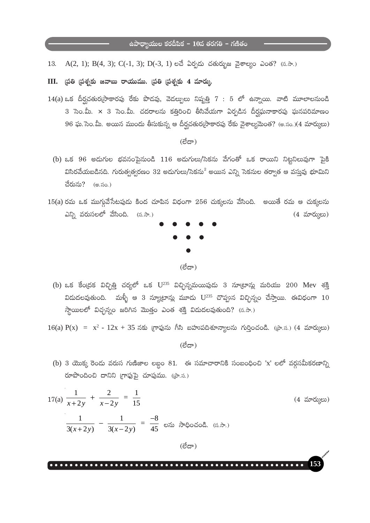A(2, 1); B(4, 3); C(-1, 3); D(-3, 1) లచే ఏర్పడు చతుర్భుజ వైశాల్యం ఎంత? (స.సా.) 13.

 $III.$  ద్రతి ద్రశ్నకు జవాబు రాయుము. ద్రతి ద్రశ్నకు 4 మార్కు.

 $14(a)$  ఒక దీర్ఘచతుర్(సాకారపు రేకు పొడవు, వెడల్సులు నిష్పత్తి  $7:5$  లో ఉన్నాయి. వాటి మూలాలనుండి 3 సెం.మీ. x 3 సెం.మీ. చదరాలను కత్తిరించి తీసివేయగా ఏర్పడిన దీర్ఘఘనాకారపు ఘనపరిమాణం 96 ఘ. సెం.మీ. అయిన ముందు తీసుకున్న ఆ దీర్ఘచతుర్వసాకారపు రేకు వైశాల్యమెంత? (అ.సం.)(4 మార్కులు)

 $(\vec{C}\vec{C})$ 

- (b) ఒక 96 అడుగుల భవనంపైనుండి 116 అడుగులు/సెకను వేగంతో ఒక రాయిని నిట్టనిలువుగా పైకి విసిరవేయబడినది. గురుత్వత్వరణం 32 అదుగులు/సెకను $^2$  అయిన ఎన్ని సెకనుల తర్వాత ఆ వస్తువు భూమిని చేరును? (అ.సం.)
- $15(a)$  రమ ఒక ముగ్గువేసేటపుడు కింద చూపిన విధంగా  $256$  చుక్కలను వేసింది. అయితే రమ ఆ చుక్కలను ఎన్ని వరుసలలో వేసింది. (స.సా.)  $(4 \text{ m}^2\text{m})$



(b) ఒక కేంద్రక విచ్చిత్తి చర్యలో ఒక  $U^{235}$  విచ్ఛిన్నమయిపుడు 3 నూట్రాన్లు మరియు 200 Mev శక్తి విదుదలవుతుంది. మళ్ళీ ఆ 3 న్యూట్రాన్లు మూడు U<sup>235</sup> చొప్పున విచ్ఛిన్నం చేస్తాయి. ఈవిధంగా 10 స్థాయిలలో విచ్చన్నం జరిగిన మొత్తం ఎంత శక్తి విడుదలవుతుంది? (స.సా.)

 $16(a) P(x) = x^2 - 12x + 35$  నకు గ్రాఫును గీసి బహుపదిశూన్యాలను గుర్తించండి. (పా.స.) (4 మార్కులు)

(లేదా)

(b) 3 యొక్క రెండు వరుస గుణిజాల లబ్దం 81. ఈ సమాచారానికి సంబంధించి 'x' లలో వర్గసమీకరణాన్ని రూపొందించి దానిని గ్రాఫ్టుపై చూపుము. (పా.స.)

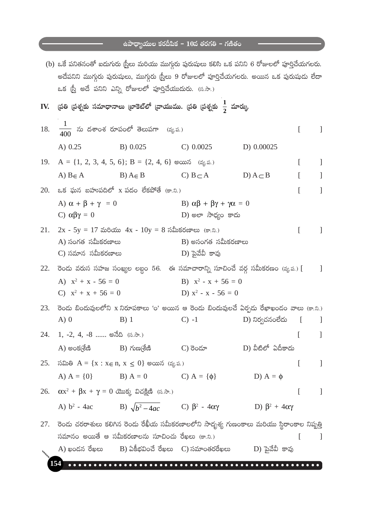<u>a sa Basa</u>

and the company of the company

|     |                                                                 |                                                               | (b) ఒకే పనితనంతో ఐదుగురు స్ర్తీలు మరియు ముగ్గురు పురుషులు కలిసి ఒక పనిని 6 రోజులలో పూర్తిచేయగలరు.<br>అదేపనిని ముగ్గురు పురుషులు, ముగ్గురు (స్తీలు 9 రోజులలో పూర్తిచేయగలరు. అయిన ఒక పురుషుడు లేదా |                    |          |                |
|-----|-----------------------------------------------------------------|---------------------------------------------------------------|--------------------------------------------------------------------------------------------------------------------------------------------------------------------------------------------------|--------------------|----------|----------------|
|     |                                                                 | ఒక (స్త్రీ అదే పనిని ఎన్ని రోజులలో పూర్తిచేయుదురు. (స.సా.)    |                                                                                                                                                                                                  |                    |          |                |
| IV. |                                                                 |                                                               | (పతి (పశ్నకు సమాధానాలు (బాకెట్లో (వాయుము. (పతి (పశ్నకు $\frac{1}{2}$ మార్కు.                                                                                                                     |                    |          |                |
| 18. |                                                                 | $\frac{1}{400}$ ను దశాంశ రూపంలో తెలుపగా (వ్య.ప.)              |                                                                                                                                                                                                  |                    | I        |                |
|     | A) 0.25                                                         | B) 0.025 C) 0.0025                                            |                                                                                                                                                                                                  | D) 0.00025         |          |                |
|     |                                                                 | 19. $A = \{1, 2, 3, 4, 5, 6\}; B = \{2, 4, 6\}$ అయిన (వ్య.ప.) |                                                                                                                                                                                                  |                    | L        | $\mathbf{I}$   |
|     |                                                                 |                                                               | A) $B \in A$ $B) A \in B$ $C) B \subset A$                                                                                                                                                       | D) $A \subseteq B$ |          | 1              |
| 20. |                                                                 | -ఒక ఘన బహుపదిలో x పదం లేకపోతే (కా.ని.)                        |                                                                                                                                                                                                  |                    | ſ        | $\mathbf{I}$   |
|     | A) $\alpha + \beta + \gamma = 0$<br>C) $\alpha\beta\gamma = 0$  |                                                               | B) $\alpha\beta + \beta\gamma + \gamma\alpha = 0$<br>D) అలా సాధ్యం కాదు                                                                                                                          |                    |          |                |
| 21. | A) సంగత సమీకరణాలు<br>C) సమాన సమీకరణాలు                          | 2x - 5y = 17 మరియు 4x - $10y = 8$ సమీకరణాలు (కా.ని.)          | $B$ ) అసంగత సమీకరణాలు<br>D) పైవేవీ కావు                                                                                                                                                          |                    | ſ        |                |
| 22. |                                                                 |                                                               | రెండు వరుస సహజ సంఖ్యల లబ్దం 56.  ఈ సమాచారాన్ని సూచించే వర్గ సమీకరణం (వ్య.ప.) [      ]                                                                                                            |                    |          |                |
|     | A) $x^2 + x - 56 = 0$                                           |                                                               | B) $x^2 - x + 56 = 0$                                                                                                                                                                            |                    |          |                |
|     | C) $x^2 + x + 56 = 0$                                           |                                                               | D) $x^2 - x - 56 = 0$                                                                                                                                                                            |                    |          |                |
| 23. |                                                                 |                                                               | రెండు బిందువులలోని x నిరూపకాలు 'o' అయిన ఆ రెండు బిందువులచే ఏర్పడు రేఖాఖండం వాలు (కా.ని.)                                                                                                         |                    |          |                |
|     | $A)$ 0                                                          | B)1                                                           | $C) -1$                                                                                                                                                                                          | D) నిర్వచనంలేదు    |          | $\Box$         |
| 24. | 1, -2, 4, -8  అనేది (స.సా.)                                     |                                                               |                                                                                                                                                                                                  |                    |          |                |
|     |                                                                 |                                                               | $A)$ అంక(శ్రేణి $B)$ గుణ(శేణి $C)$ రెండూ $D)$ వీటిలో ఏదీకాదు                                                                                                                                     |                    |          |                |
|     |                                                                 | 25. సమితి $A = \{x : x \in n, x \le 0\}$ అయిన (వ్య.ప.)        |                                                                                                                                                                                                  |                    | $\Gamma$ | $\blacksquare$ |
|     | A) $A = \{0\}$ B) $A = 0$                                       |                                                               | C) $A = \{\phi\}$                                                                                                                                                                                | D) $A = \phi$      |          |                |
|     | 26. $\alpha x^2 + \beta x + \gamma = 0$ యొక్క విచక్షిణి (స.సా.) |                                                               |                                                                                                                                                                                                  |                    | L        | $\blacksquare$ |
|     |                                                                 |                                                               | A) $b^2$ - 4ac B) $\sqrt{b^2-4ac}$ C) $\beta^2$ - 4ax D) $\beta^2$ + 4ax                                                                                                                         |                    |          |                |
|     |                                                                 |                                                               | 27.   రెండు చరరాశులు కలిగిన రెండు రేఖీయ సమీకరణాలలోని సాదృశ్య గుణంకాలు మరియు స్థిరాంకాల నిష్పత్తి                                                                                                 |                    |          |                |
|     |                                                                 | సమానం అయితే ఆ సమీకరణాలను సూచించు రేఖలు (కా.ని.)               |                                                                                                                                                                                                  |                    | t        | - 1            |
|     |                                                                 |                                                               | A) ఖండన రేఖలు $B$ ) ఏకీభవించే రేఖలు $C$ ) సమాంతరరేఖలు $D$ ) పైవేవీ కావు                                                                                                                          |                    |          |                |
|     |                                                                 |                                                               |                                                                                                                                                                                                  |                    |          |                |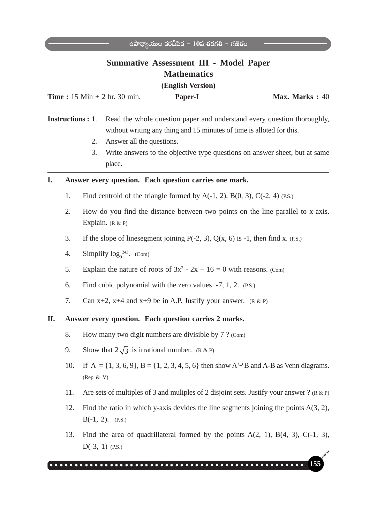|    |     |                                                                                                                                                   | <b>Summative Assessment III - Model Paper</b><br><b>Mathematics</b><br>(English Version) |                                                                                                                                                                         |
|----|-----|---------------------------------------------------------------------------------------------------------------------------------------------------|------------------------------------------------------------------------------------------|-------------------------------------------------------------------------------------------------------------------------------------------------------------------------|
|    |     | <b>Time</b> : $15 \text{ Min} + 2 \text{ hr}$ . $30 \text{ min}$ .<br><b>Instructions</b> : 1.<br>Answer all the questions.<br>2.<br>3.<br>place. | Paper-I<br>without writing any thing and 15 minutes of time is alloted for this.         | Max. Marks: 40<br>Read the whole question paper and understand every question thoroughly,<br>Write answers to the objective type questions on answer sheet, but at same |
| I. |     |                                                                                                                                                   | Answer every question. Each question carries one mark.                                   |                                                                                                                                                                         |
|    | 1.  |                                                                                                                                                   | Find centroid of the triangle formed by $A(-1, 2)$ , $B(0, 3)$ , $C(-2, 4)$ (P.S.)       |                                                                                                                                                                         |
|    | 2.  | Explain. $(R & P)$                                                                                                                                |                                                                                          | How do you find the distance between two points on the line parallel to x-axis.                                                                                         |
|    | 3.  |                                                                                                                                                   | If the slope of linesegment joining $P(-2, 3)$ , $Q(x, 6)$ is -1, then find x. (P.S.)    |                                                                                                                                                                         |
|    | 4.  | Simplify $log9243$ . (Com)                                                                                                                        |                                                                                          |                                                                                                                                                                         |
|    | 5.  |                                                                                                                                                   | Explain the nature of roots of $3x^2 - 2x + 16 = 0$ with reasons. (Com)                  |                                                                                                                                                                         |
|    | 6.  |                                                                                                                                                   | Find cubic polynomial with the zero values $-7$ , 1, 2. (P.S.)                           |                                                                                                                                                                         |
|    | 7.  |                                                                                                                                                   | Can $x+2$ , $x+4$ and $x+9$ be in A.P. Justify your answer. (R & P)                      |                                                                                                                                                                         |
| П. |     |                                                                                                                                                   | Answer every question. Each question carries 2 marks.                                    |                                                                                                                                                                         |
|    | 8.  |                                                                                                                                                   | How many two digit numbers are divisible by 7 ? (Com)                                    |                                                                                                                                                                         |
|    | 9.  | Show that $2\sqrt{3}$ is irrational number. (R & P)                                                                                               |                                                                                          |                                                                                                                                                                         |
|    | 10. | (Rep $&$ V)                                                                                                                                       |                                                                                          | If A = {1, 3, 6, 9}, B = {1, 2, 3, 4, 5, 6} then show $A^{\cup}B$ and A-B as Venn diagrams.                                                                             |
|    | 11. |                                                                                                                                                   |                                                                                          | Are sets of multiples of 3 and muliples of 2 disjoint sets. Justify your answer ? $(R \& P)$                                                                            |
|    | 12. | $B(-1, 2)$ . (P.S.)                                                                                                                               |                                                                                          | Find the ratio in which y-axis devides the line segments joining the points $A(3, 2)$ ,                                                                                 |
|    | 13. | $D(-3, 1)$ (P.S.)                                                                                                                                 |                                                                                          | Find the area of quadrillateral formed by the points $A(2, 1)$ , $B(4, 3)$ , $C(-1, 3)$ ,                                                                               |
|    |     |                                                                                                                                                   |                                                                                          | 155                                                                                                                                                                     |

 $\dot{\rm e}$ àపాధ్యాయుల కరదీపిక − 10వ తరగతి − గణితం <del>−</del>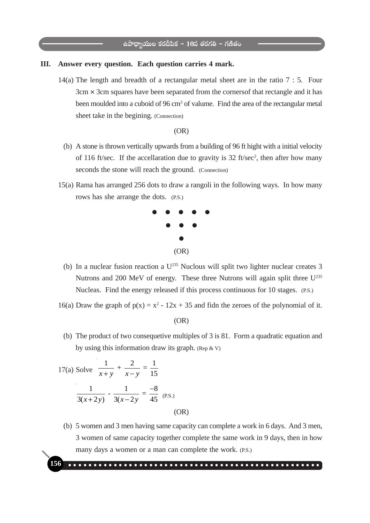#### **III. Answer every question. Each question carries 4 mark.**

14(a) The length and breadth of a rectangular metal sheet are in the ratio 7 : 5. Four  $3cm \times 3cm$  squares have been separated from the corners of that rectangle and it has been moulded into a cuboid of 96 cm<sup>3</sup> of valume. Find the area of the rectangular metal sheet take in the begining. (Connection)

#### (OR)

- (b) A stone is thrown vertically upwards from a building of 96 ft hight with a initial velocity of 116 ft/sec. If the accellaration due to gravity is 32 ft/sec<sup>2</sup>, then after how many seconds the stone will reach the ground. (Connection)
- 15(a) Rama has arranged 256 dots to draw a rangoli in the following ways. In how many rows has she arrange the dots. (P.S.)



- (b) In a nuclear fusion reaction a  $U^{235}$  Nuclous will split two lighter nuclear creates 3 Nutrons and 200 MeV of energy. These three Nutrons will again split three U<sup>235</sup> Nucleas. Find the energy released if this process continuous for 10 stages. (P.S.)
- 16(a) Draw the graph of  $p(x) = x^2 12x + 35$  and fidn the zeroes of the polynomial of it.

(OR)

 (b) The product of two consequetive multiples of 3 is 81. Form a quadratic equation and by using this information draw its graph. (Rep  $\&$  V)

17(a) Solve 
$$
\frac{1}{x+y} + \frac{2}{x-y} = \frac{1}{15}
$$
  

$$
\frac{1}{3(x+2y)} - \frac{1}{3(x-2y)} = \frac{-8}{45}
$$
 (P.S.) (OR)

 (b) 5 women and 3 men having same capacity can complete a work in 6 days. And 3 men, 3 women of same capacity together complete the same work in 9 days, then in how many days a women or a man can complete the work. (P.S.)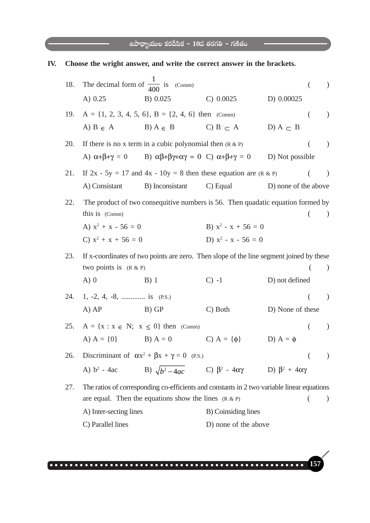| IV. |     |                                               | Choose the wright answer, and write the correct answer in the brackets.                                 |                       |                      |                          |
|-----|-----|-----------------------------------------------|---------------------------------------------------------------------------------------------------------|-----------------------|----------------------|--------------------------|
|     | 18. | The decimal form of $\frac{1}{400}$ is (Comm) |                                                                                                         |                       |                      |                          |
|     |     | A) $0.25$                                     | B) 0.025                                                                                                | C) 0.0025             | D) 0.00025           |                          |
|     | 19. |                                               | $A = \{1, 2, 3, 4, 5, 6\}, B = \{2, 4, 6\}$ then (Comm)                                                 |                       |                      | $\mathcal{L}$            |
|     |     | A) $B \in A$                                  | $B) A \in B$                                                                                            | C B $\subset$ A       | D) $A \subset B$     |                          |
|     | 20. |                                               | If there is no x term in a cubic polynomial then $(R & P)$                                              |                       |                      | $\lambda$                |
|     |     |                                               | A) $\alpha+\beta+\gamma = 0$ B) $\alpha\beta+\beta\gamma+\alpha\gamma = 0$ C) $\alpha+\beta+\gamma = 0$ |                       | D) Not possible      |                          |
|     | 21. |                                               | If $2x - 5y = 17$ and $4x - 10y = 8$ then these equation are $(R \& P)$                                 |                       |                      | $\rightarrow$            |
|     |     | A) Consistant                                 | B) Inconsistant                                                                                         | $C)$ Equal            | D) none of the above |                          |
|     | 22. |                                               | The product of two consequitive numbers is 56. Then quadatic equation formed by                         |                       |                      |                          |
|     |     | this is (Comm)                                |                                                                                                         |                       |                      | $\lambda$                |
|     |     | A) $x^2 + x - 56 = 0$                         |                                                                                                         | B) $x^2 - x + 56 = 0$ |                      |                          |
|     |     | C) $x^2 + x + 56 = 0$                         |                                                                                                         | D) $x^2 - x - 56 = 0$ |                      |                          |
|     | 23. |                                               | If x-coordinates of two points are zero. Then slope of the line segment joined by these                 |                       |                      |                          |
|     |     | two points is $(R & P)$                       |                                                                                                         |                       |                      | $\overline{\phantom{a}}$ |
|     |     | $A)$ 0                                        | $B)$ 1                                                                                                  | $C$ ) -1              | D) not defined       |                          |
|     | 24. | 1, $-2$ , 4, $-8$ ,  is (P.S.)                |                                                                                                         |                       |                      | $\lambda$                |
|     |     | $A)$ $AP$                                     | B) GP                                                                                                   | C) Both               | D) None of these     |                          |
|     | 25. |                                               | $A = \{x : x \in N; x \le 0\}$ then (Comm)                                                              |                       |                      |                          |
|     |     |                                               | A) $A = \{0\}$ B) $A = 0$ C) $A = \{\phi\}$                                                             |                       | D) $A = \phi$        |                          |
|     | 26. |                                               | Discriminant of $\alpha x^2 + \beta x + \gamma = 0$ (P.S.)                                              |                       |                      | $\left( \right)$         |
|     |     |                                               | A) $b^2 - 4ac$ B) $\sqrt{b^2 - 4ac}$ C) $\beta^2 - 4\alpha\gamma$ D) $\beta^2 + 4\alpha\gamma$          |                       |                      |                          |
|     | 27. |                                               | The ratios of corresponding co-efficients and constants in 2 two variable linear equations              |                       |                      |                          |
|     |     |                                               | are equal. Then the equations show the lines $(R & R)$                                                  |                       |                      |                          |
|     |     | A) Inter-secting lines                        |                                                                                                         | B) Coinsiding lines   |                      |                          |
|     |     | C) Parallel lines                             |                                                                                                         | D) none of the above  |                      |                          |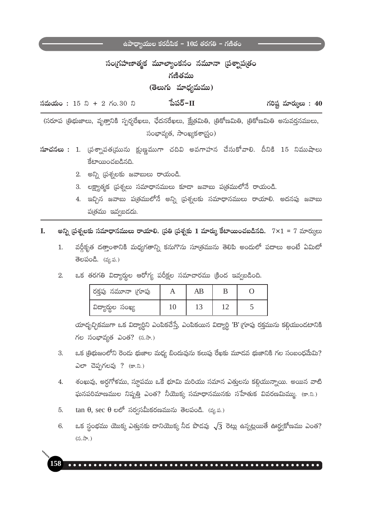# సంగ్రహణాత్మక మూల్యాంకనం నమూనా (పశ్నాప(తం గణితము

# (తెలుగు మాధ్యమము)

పేపర్–II  $\delta$ మయం: 15 ని + 2 గం.30 ని గరిష్ట మార్కులు:  $40$ 

(సరూప త్రిభుజాలు, వృత్తానికి స్పర్శరేఖలు, ఛేదనరేఖలు, క్షేత్రమితి, త్రికోణమితి, త్రికోణమితి అనువర్తనములు, సంభావ్యత, సాంఖ్యకశాస్త్రం)

- <mark>సూచనలు : 1</mark>. వ్రశ్నాపత్మమును క్షుణ్ణముగా చదివి అవగాహన చేసుకోవాలి. దీనికి 15 నిముషాలు కేటాయించబడినది.
	- 2. అన్ని ప్రశ్నలకు జవాబులు రాయండి.
	- 3. లక్ష్యాత్మక ప్రశ్నలు సమాధానములు కూడా జవాబు ప్రతములోనే రాయండి.
	- 4. ఇచ్చిన జవాబు ప(తములోనే అన్ని (పశ్నలకు సమాధానములు రాయాలి. అదనపు జవాబు పుత్రము ఇవ్వబడదు.
- అన్ని ద్రశ్నలకు సమాధానములు రాయాలి. ద్రతి ద్రశ్నకు 1 మార్కు కేటాయించబడినది.  $7\times1$  =  $7$  మార్కులు L.
	- వర్గీకృత దత్తాంశానికి మధ్యగతాన్ని కనుగొను సూత్రమును తెలిపి అందులో పదాలు అంటే ఏమిటో  $\mathbf{1}$ . తెలపండి. (వ్య.ప.)
	- ఒక తరగతి విద్యార్శల ఆరోగ్య పరీక్షల సమాచారము క్రింద ఇవ్వబడింది. 2.

| రక్తపు నమూనా (గూపు | AB |  |
|--------------------|----|--|
| విద్యార్థుల సంఖ్య  |    |  |

యాదృచ్ఛికముగా ఒక విద్యార్థిని ఎంపికచేస్తే, ఎంపికయిన విద్యార్థి 'B'(గూపు రక్తమును కల్గియుండటానికి గల సంభావ్యత ఎంత? (స.సా.)

- ఒక (తిభుజంలోని రెండు భుజాల మధ్య బిందువును కలుపు రేఖకు మూడవ భుజానికి గల సంబంధమేమి? 3. ఎలా చెప్పగలవు ? (కా.ని.)
- శంఖువు, అర్ధగోళము, స్థూపము ఒకే భూమి మరియు సమాన ఎత్తులను కల్గియున్నాయి. అయిన వాటి  $4.$ ఘనపరిమాణముల నిష్పత్తి ఎంత? నీయొక్క సమాధానమునకు సహేతుక వివరణమిమ్ము. (కా.ని.)
- $tan \theta$ ,  $sec \theta$  లలో సర్వసమీకరణమును తెలపండి. (వ్య.ప.)  $5<sub>1</sub>$
- ఒక స్థంభము యొక్క ఎత్తునకు దానియొక్క నీద పొడవు  $\sqrt{3}$  రెట్లు ఉన్నట్లయితే ఊర్ద్వకోణము ఎంత? 6.  $(5.7)$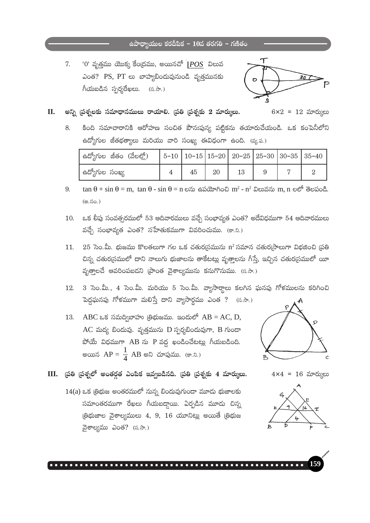# $\frac{1}{6}$ ఉపాధ్యాయుల కరదీపిక –  $10$ వ తరగతి – గణితం

 $^{\prime}0^{\prime}$  వృత్తము యొక్క కేంద్రము, అయినచో  $|POS|$  విలువ 7. ఎంత? PS, PT లు బాహ్యబిందువునుండి వృత్తమునకు గీయబడిన స్పర్శరేఖలు. (స.సా.)



 $6x2 = 12$  మార్కులు

#### II. అన్ని (పశ్చలకు సమాధానములు రాయాలి. (పతి (పశ్చకు 2 మార్కులు.

కింది సమాచారానికి ఆరోహణ సంచిత పౌనఃపున్య పట్టికను తయారుచేయండి. ఒక కంపెనీలోని 8. ఉద్యోగుల జీతభత్యాలు మరియు వారి సంఖ్య ఈవిధంగా ఉంది. (వ్య.ప.)

| ఉద్యోగుల జీతం (వేలల్లో) - |    |    | $\vert$ 5-10 $\vert$ 10-15 $\vert$ 15-20 $\vert$ 20-25 $\vert$ 25-30 $\vert$ 30-35 $\vert$ 35-40 |  |  |
|---------------------------|----|----|--------------------------------------------------------------------------------------------------|--|--|
| ఉద్యోగుల సంఖ్య            | 45 | 20 |                                                                                                  |  |  |

- $\tan \theta + \sin \theta = m$ ,  $\tan \theta \sin \theta = n$  లను ఉపయోగించి m<sup>2</sup> n<sup>2</sup> విలువను m, n లలో తెలపండి. 9. (అ.సం.)
- ఒక లీఫు సంవత్సరములో 53 ఆదివారములు వచ్చే సంభావ్యత ఎంత? అదేవిధముగా 54 ఆదివారములు 10. వచ్చే సంభావ్యత ఎంత? సహేతుకముగా వివరించుము. (కా.ని.)
- $25$  సెం.మీ. భుజము కొలతలుగా గల ఒక చతుర(సమును n<sup>2</sup> సమాన చతుర(సాలుగా విభజించి (పతి 11. చిన్న చతుర(సములో దాని నాలుగు భుజాలను తాకేటట్లు వృత్తాలను గీస్తే, ఇచ్చిన చతుర(సములో యీ వృత్తాలచే ఆవరింపబడని (పాంత వైశాల్యమును కనుగొనుము. (స.సా.)
- 3 సెం.మీ., 4 సెం.మీ. మరియు 5 సెం.మీ. వ్యాసార్థాలు కలగిన ఘనపు గోళములను కరిగించి 12. పెద్దఘనపు గోళముగా మలిస్తే దాని వ్యాసార్ధము ఎంత ? (స.సా.)
- $\overline{ABC}$  ఒక సమద్విబాహు (తిభుజము. ఇందులో  $\overline{AB} = \overline{AC}, \overline{D},$ 13. AC మద్య బిందువు. వృత్తమును D స్పర్శబిందువుగా, B గుండా  $\hat{C}$ တိတ် ဆိုလ်သာကု AB လ P သတ္တ နာဝငီဝင်္သမားတွဲ ဂိုလားစငီဝင်္က అయిన  $AP = \frac{1}{4} AB$  అని చూపుము. (కా.ని.)



- $4 \times 4 = 16$  మార్కులు
- 
- $III.$  (పతి (పశ్నలో అంతర్గత ఎంపిక ఇవ్వబడినది. (పతి (పశ్నకు 4 మార్ములు.
	- $14(a)$  ఒక త్రిభుజ అంతరములో నున్న బిందువుగుందా మూడు భుజాలకు సమాంతరముగా రేఖలు గీయబడ్డాయి. ఏర్పడిన మూడు చిన్న ලීආයා බිෂා ලික්රා 4, 9, 16 රැගා සිද්ධා මතාම් ලීආය వైశాల్యము ఎంత? (స.సా.)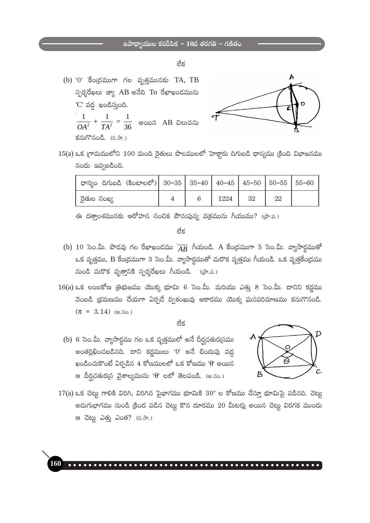- లేక
- (b)  $0$ ' కేంద్రముగా గల వృత్తమునకు TA, TB స్పర్శరేఖలు జ్యా AB అనేది To రేఖాఖండమును 'C' వద్ద ఖండిస్తుంది.  $\frac{1}{OA^2} + \frac{1}{TA^2} = \frac{1}{36}$  అయిన AB విలువను కనుగొనండి. (స.సా.)



 $15(a)$  ఒక (గామములోని  $100$  మంది రైతులు పొలములలో హెక్టారు దిగుబడి ధాన్యము (కింది విభాజనము నందు ఇవ్వబడింది.

| - ధాన్యం దిగుబడి (కింటాలలో) 30–35   35–40   40–45   45–50   50–55   55–60 |  |      |     |    |  |
|---------------------------------------------------------------------------|--|------|-----|----|--|
| రైతుల సంఖ్య                                                               |  | 1224 | -32 | 22 |  |

ఈ దత్తాంశమునకు ఆరోహన సంచిక పౌనఃపున్య వ(కమును గీయుము? ((పా.ప.)

తేక

- (b) 10 సెం.మీ. పొడవు గల రేఖాఖండము  $\overline{AB}$  గీయండి. A కేంద్రముగా 5 సెం.మీ. వ్యాసార్ధముతో ఒక వృత్తము, B కేంద్రముగా 3 సెం.మీ. వ్యాసార్థముతో మరొక వృత్తము గీయండి. ఒక వృత్తకేంద్రము నుండి మరొక వృత్తానికి స్పర్శరేఖలు గీయండి. (పా.ప.)
- $16(a)$  ఒక లంబకోణ త్రిభుజము యొక్క భూమి 6 సెం.మీ. మరియు ఎత్తు 8 సెం.మీ. దానిని కర్ణము వెంబడి (భమణము చేయగా ఏర్పడే ద్విశంఖువు ఆకారము యొక్క ఘనపరిమాణము కనుగొనండి.  $(\pi = 3.14)$  (అ.సం.)

#### లేక

(b) 6 సెం.మీ. వ్యాసార్థము గల ఒక వృత్తములో అనే దీర్ఘచతుర<sub>(</sub>సము అంతర్లిఖించబడినది. దాని కర్ణములు '0' అనే బిందువు వద్ద ఖండించుకొంటే ఏర్పడిన 4 కోణములలో ఒక కోణము ' $\theta$ ' అయిన ఆ దీర్ఘచతుర(స వైశాల్యమును 'θ' లలో తెలపండి. (అ.సం.)

160



 $17(a)$  ఒక చెట్లు గాలికి విరిగి, విరిగిన పైభాగము భూమికి  $30^{\circ}$  ల కోణము చేస్తూ భూమిపై పడినది. చెట్లు అదుగుభాగము నుండి క్రింద పడిన చెట్టు కొన దూరము 20 మీటర్లు అయిన చెట్టు విరగక ముందు ఆ చెట్లు ఎత్తు ఎంత? (స.సా.)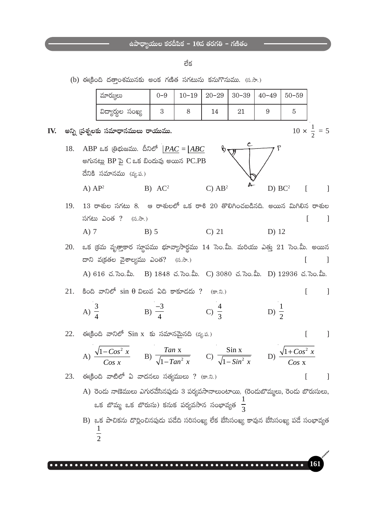#### లేక

(b) ఈకింది దతాంశమునకు అంక గణిత సగటును కనుగొనుము. (స.సా.)

| మార్కులు          | $() - 9$ | $10-19$   20-29   30-39   40-49   50-59 |  |  |
|-------------------|----------|-----------------------------------------|--|--|
| విద్యార్థుల సంఖ్య |          |                                         |  |  |

 $10 \times \frac{1}{2} = 5$ 

 $\overline{a}$ 

 $16^{\circ}$ 

 $\overline{\phantom{a}}$ 

IV. అన్ని ప్రశ్నలకు సమాధానములు రాయుము.



 $19.$   $13$  రాశుల సగటు 8. ఆ రాశులలో ఒక రాశి  $20$  తొలిగించబడినది. అయిన మిగిలిన రాశుల సగటు ఎంత ?  $(5.3)$  $\Gamma$  $\Box$  $C)$  21  $A)$  7  $D)$  12  $B)$  5

 $20.$  ఒక క్రమ వృత్తాకార స్థూపము భూవ్యాసార్ధము 14 సెం.మీ. మరియు ఎత్తు  $21$  సెం.మీ. అయిన దాని వ(క్రతల వైశాల్యము ఎంత? (స.సా.)  $\Box$ A) 616 చ. సెం.మీ. B) 1848 చ. సెం.మీ. C) 3080 చ. సెం.మీ. D) 12936 చ. సెం.మీ.

21. కింది వానిలో  $sin θ$  విలువ ఏది కాకూడదు ? (కా.ని.)  $\Box$  $\Gamma$ B)  $\frac{-3}{4}$  C)  $\frac{4}{3}$ D)  $\frac{1}{2}$ A)  $\frac{3}{4}$ 

22. ఈక్రింది వానిలో  $Sin x$  కు సమానమైనది (వ్య.ప.)  $\overline{\phantom{a}}$  $T = \frac{1}{2}$  $\mathbf{a}$ .

A) 
$$
\frac{\sqrt{1-Cos^2 x}}{Cos x}
$$
 \tB)  $\frac{tan x}{\sqrt{1-Tan^2 x}}$  \tC)  $\frac{sin x}{\sqrt{1-Sin^2 x}}$  \tD)  $\frac{\sqrt{1+Cos^2 x}}{Cos x}$ 

 $23.$  ఈక్రింది వాటిలో ఏ వాదనలు సత్యములు ? (కా.ని.)

- A) రెండు నాణెములు ఎగురవేసినపుడు 3 పర్యవసానాలుంటాయి. (రెండుబొమ్మలు, రెండు బొరుసులు, ఒక బొమ్మ ఒక బొరుసు) కనుక పర్యవసాన సంభావ్యత  $\frac{1}{3}$
- B) ఒక పాచికను దొర్లించినపుడు పడేది సరిసంఖ్య లేక బేసిసంఖ్య కావున బేసిసంఖ్య పడే సంభావ్యత  $\overline{2}$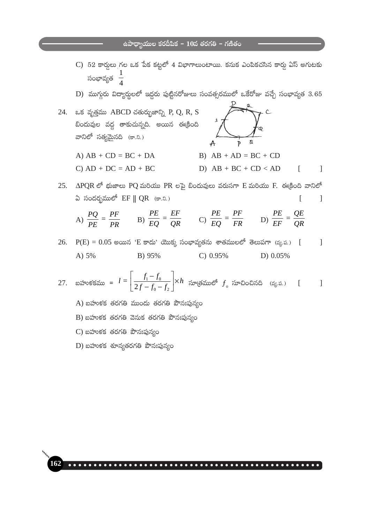- $C$ ) 52 కార్మలు గల ఒక పేక కట్టలో 4 విభాగాలుంటాయి. కనుక ఎంపికచసిన కార్తు ఏస్ అగుటకు సంభావ్యత  $\frac{1}{4}$
- D) ముగ్గురు విద్యార్థులలో ఇద్దరు పుట్టినరోజులు సంవత్సరములో ఒకేరోజు వచ్చే సంభావ్యత  $3.65$

24. ఒక వృత్తము ABCD చతుర్భుజాన్ని P, Q, R, S బిందువుల వద్ద తాకుచున్నది. అయిన ఈక్రింది వానిలో సత్యమైనది (కా.ని.)

A)  $AB + CD = BC + DA$ 

 $C) AD + DC = AD + BC$ 

- $\mathbf{z}$  $\overline{A}$  $\overline{p}$ B)  $AB + AD = BC + CD$
- D)  $AB + BC + CD < AD$

 $\Gamma$ 

 $\mathcal{L}$ 

25.  $\triangle$ PQR లో భుజాలు PQ మరియు PR లపై బిందువులు వరుసగా E మరియు F. ఈక్రింది వానిలో ఏ సందర్భములో EF || QR (కా.ని.)  $\sqrt{ }$ 1

A) 
$$
\frac{PQ}{PE} = \frac{PF}{PR}
$$
 \tB)  $\frac{PE}{EQ} = \frac{EF}{QR}$  \tC)  $\frac{PE}{EQ} = \frac{PF}{FR}$  \tD)  $\frac{PE}{EF} = \frac{QE}{QR}$ 

 $26.$  $P(E) = 0.05$  అయిన 'E కాదు' యొక్క సంభావ్యతను శాతములలో తెలుపగా (వ్య.ప.) [  $\overline{1}$ C)  $0.95%$ A) 5% B) 95% D) 0.05%

27. బహుకకము = 
$$
l = \left[\frac{f_1 - f_0}{2f - f_0 - f_2}\right] \times h
$$
స్యాత్రములో  $f_0$ సూచించినది (ష్య.ప.) [ ]

- A) బహుళక తరగతి ముందు తరగతి పౌనఃపున్యం
- B) బహుళక తరగతి వెనుక తరగతి పౌనఃపున్యం
- $C$ ) బహుళక తరగతి పౌనఃపున్యం
- $D$ ) బహుళక శూన్యతరగతి పౌనఃపున్యం

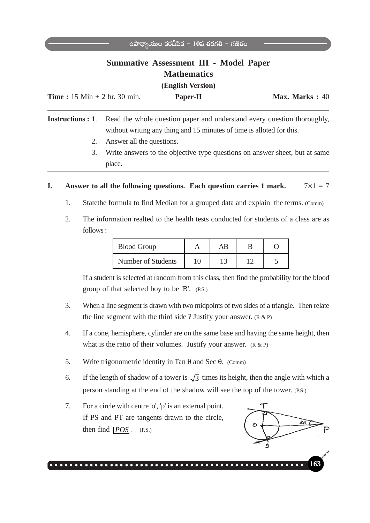# **Summative Assessment III - Model Paper Mathematics**

**(English Version)**

| <b>Time</b> : $15 \text{ Min} + 2 \text{ hr}$ . $30 \text{ min}$ . | <b>Paper-II</b> | Max. Marks: 40 |
|--------------------------------------------------------------------|-----------------|----------------|
|                                                                    |                 |                |

**Instructions :** 1. Read the whole question paper and understand every question thoroughly, without writing any thing and 15 minutes of time is alloted for this.

- 2. Answer all the questions.
- 3. Write answers to the objective type questions on answer sheet, but at same place.

### **I.** Answer to all the following questions. Each question carries 1 mark.  $7 \times 1 = 7$

- 1. Statethe formula to find Median for a grouped data and explain the terms. (Comm)
- 2. The information realted to the health tests conducted for students of a class are as follows :

| <b>Blood Group</b> |    | AB |  |
|--------------------|----|----|--|
| Number of Students | 10 |    |  |

If a student is selected at random from this class, then find the probability for the blood group of that selected boy to be 'B'. (P.S.)

- 3. When a line segment is drawn with two midpoints of two sides of a triangle. Then relate the line segment with the third side ? Justify your answer.  $(R \& P)$
- 4. If a cone, hemisphere, cylinder are on the same base and having the same height, then what is the ratio of their volumes. Justify your answer.  $(R & R)$
- 5. Write trigonometric identity in Tan θ and Sec θ. (Comm)
- 6. If the length of shadow of a tower is  $\sqrt{3}$  times its height, then the angle with which a person standing at the end of the shadow will see the top of the tower. (P.S.)
- 7. For a circle with centre 'o', 'p' is an external point. If PS and PT are tangents drawn to the circle, then find  $|POS$ . (P.S.)

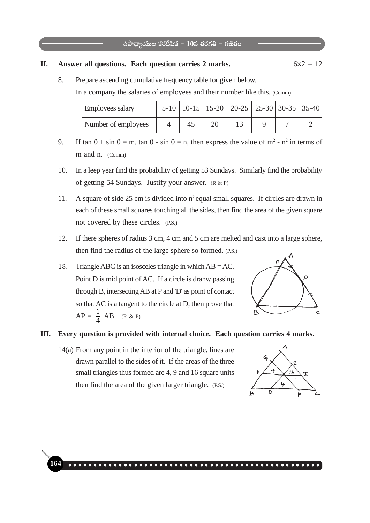#### **II.** Answer all questions. Each question carries 2 marks.  $6 \times 2 = 12$

8. Prepare ascending cumulative frequency table for given below.

In a company the salaries of employees and their number like this. (Comm)

| <b>Employees salary</b> |  | 5-10   10-15   15-20   20-25   25-30   30-35   35-40 |  |  |
|-------------------------|--|------------------------------------------------------|--|--|
| Number of employees     |  |                                                      |  |  |

- 9. If  $\tan \theta + \sin \theta = m$ ,  $\tan \theta \sin \theta = n$ , then express the value of  $m^2 n^2$  in terms of m and n. (Comm)
- 10. In a leep year find the probability of getting 53 Sundays. Similarly find the probability of getting 54 Sundays. Justify your answer. (R & P)
- 11. A square of side 25 cm is divided into  $n^2$  equal small squares. If circles are drawn in each of these small squares touching all the sides, then find the area of the given square not covered by these circles. (P.S.)
- 12. If there spheres of radius 3 cm, 4 cm and 5 cm are melted and cast into a large sphere, then find the radius of the large sphere so formed. (P.S.)
- 13. Triangle ABC is an isosceles triangle in which AB = AC. Point D is mid point of AC. If a circle is dranw passing through B, intersecting AB at P and 'D' as point of contact so that AC is a tangent to the circle at D, then prove that  $AP = \frac{1}{4} AB$ . (R & P)



#### **III. Every question is provided with internal choice. Each question carries 4 marks.**

**164** ○○○○○○○○○○○○○○○○○ ○○○○○○○○○○○○○○○○○○○○○○○○○○○○○○○○○

14(a) From any point in the interior of the triangle, lines are drawn parallel to the sides of it. If the areas of the three small triangles thus formed are 4, 9 and 16 square units then find the area of the given larger triangle. (P.S.)

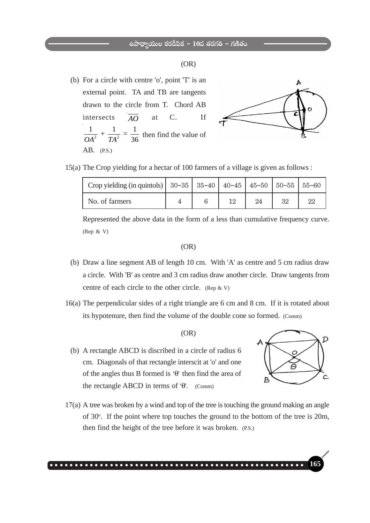#### (OR)

 (b) For a circle with centre 'o', point 'T' is an external point. TA and TB are tangents drawn to the circle from T. Chord AB intersects  $\overline{AO}$  at C. If 2  $TA^2$  $\frac{1}{OA^2} + \frac{1}{TA^2} = \frac{1}{36}$  then find the value of AB. (P.S.)



15(a) The Crop yielding for a hectar of 100 farmers of a village is given as follows :

| Crop yielding (in quintols)   $30-35$   $35-40$   $40-45$   $45-50$   $50-55$   $55-60$ |  |    |    |    |    |
|-----------------------------------------------------------------------------------------|--|----|----|----|----|
| No. of farmers                                                                          |  | 19 | 24 | 32 | 22 |

Represented the above data in the form of a less than cumulative frequency curve. (Rep & V)

#### (OR)

- (b) Draw a line segment AB of length 10 cm. With 'A' as centre and 5 cm radius draw a circle. With 'B' as centre and 3 cm radius draw another circle. Draw tangents from centre of each circle to the other circle. (Rep & V)
- 16(a) The perpendicular sides of a right triangle are 6 cm and 8 cm. If it is rotated about its hypotenure, then find the volume of the double cone so formed. (Comm)

#### (OR)

 (b) A rectangle ABCD is discribed in a circle of radius 6 cm. Diagonals of that rectangle interscit at 'o' and one of the angles thus B formed is  $\Theta$  then find the area of the rectangle ABCD in terms of  $\Theta$ . (Comm)



17(a) A tree was broken by a wind and top of the tree is touching the ground making an angle of 30<sup>o</sup>. If the point where top touches the ground to the bottom of the tree is 20m, then find the height of the tree before it was broken. (P.S.)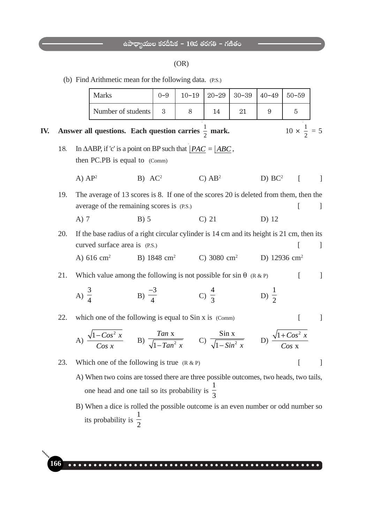### (OR)

(b) Find Arithmetic mean for the following data. (P.S.)

|     |                                                                                                |                  | <b>Marks</b>                                                                                                                                    | $0 - 9$                | $10 - 19$ | $20 - 29$          | $30 - 39$ | $40 - 49$          | $50 - 59$      |                                       |
|-----|------------------------------------------------------------------------------------------------|------------------|-------------------------------------------------------------------------------------------------------------------------------------------------|------------------------|-----------|--------------------|-----------|--------------------|----------------|---------------------------------------|
|     |                                                                                                |                  |                                                                                                                                                 |                        |           |                    |           |                    |                |                                       |
|     |                                                                                                |                  | Number of students                                                                                                                              | 3                      | 8         | 14                 | 21        | 9                  | $\overline{5}$ |                                       |
| IV. | $10 \times \frac{1}{2} = 5$<br>Answer all questions. Each question carries $\frac{1}{2}$ mark. |                  |                                                                                                                                                 |                        |           |                    |           |                    |                |                                       |
|     | 18.                                                                                            |                  | In $\triangle$ ABP, if 'c' is a point on BP such that $ PAC =  ABC$ ,<br>then PC.PB is equal to (Comm)                                          |                        |           |                    |           |                    |                |                                       |
|     |                                                                                                | A) $AP^2$        | B) AC <sup>2</sup>                                                                                                                              |                        |           | C) AB <sup>2</sup> |           | D) BC <sup>2</sup> | $\sqrt{ }$     | $\mathbf{1}$                          |
|     | 19.                                                                                            |                  | The average of 13 scores is 8. If one of the scores 20 is deleted from them, then the                                                           |                        |           |                    |           |                    |                |                                       |
|     |                                                                                                |                  | average of the remaining scores is (P.S.)                                                                                                       |                        |           |                    |           |                    | L              | $\perp$                               |
|     |                                                                                                | $A)$ 7           | $B)$ 5                                                                                                                                          |                        |           | $C)$ 21            |           | D) 12              |                |                                       |
|     | 20.                                                                                            |                  | If the base radius of a right circular cylinder is 14 cm and its height is 21 cm, then its<br>curved surface area is (P.S.)                     |                        |           |                    |           |                    |                | $\mathcal{L}$                         |
|     |                                                                                                |                  | A) 616 $cm2$                                                                                                                                    | B) $1848 \text{ cm}^2$ |           | C) 3080 $cm2$      |           | D) 12936 $cm2$     |                |                                       |
|     | 21.                                                                                            |                  | Which value among the following is not possible for $sin \theta$ (R & P)                                                                        |                        |           |                    |           |                    |                | $\mathbf{I}$                          |
|     |                                                                                                | A) $\frac{3}{4}$ | B) $\frac{-3}{4}$                                                                                                                               |                        |           | C) $\frac{4}{3}$   |           | D) $\frac{1}{2}$   |                |                                       |
|     | 22.                                                                                            |                  | which one of the following is equal to Sin x is (Comm)                                                                                          |                        |           |                    |           |                    |                | $\begin{array}{c} \hline \end{array}$ |
|     |                                                                                                |                  | A) $\frac{\sqrt{1-Cos^2 x}}{Cos x}$ B) $\frac{Tan x}{\sqrt{1-Tan^2 x}}$ C) $\frac{Sin x}{\sqrt{1-Sin^2 x}}$ D) $\frac{\sqrt{1+Cos^2 x}}{Cos x}$ |                        |           |                    |           |                    |                |                                       |
|     | 23.                                                                                            |                  | Which one of the following is true $(R & P)$                                                                                                    |                        |           |                    |           |                    |                |                                       |
|     |                                                                                                |                  | A) When two coins are tossed there are three possible outcomes, two heads, two tails,                                                           |                        |           |                    |           |                    |                |                                       |
|     |                                                                                                |                  | one head and one tail so its probability is $\frac{1}{3}$                                                                                       |                        |           |                    |           |                    |                |                                       |
|     |                                                                                                |                  | B) When a dice is rolled the possible outcome is an even number or odd number so                                                                |                        |           |                    |           |                    |                |                                       |
|     |                                                                                                |                  | its probability is $\frac{1}{2}$                                                                                                                |                        |           |                    |           |                    |                |                                       |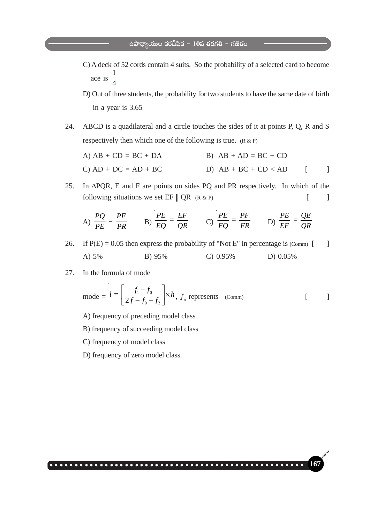- C) A deck of 52 cords contain 4 suits. So the probability of a selected card to become ace is 1 4
- D) Out of three students, the probability for two students to have the same date of birth in a year is 3.65
- 24. ABCD is a quadilateral and a circle touches the sides of it at points P, Q, R and S respectively then which one of the following is true.  $(R \& P)$

A) 
$$
AB + CD = BC + DA
$$
  
\nB)  $AB + AD = BC + CD$   
\nC)  $AD + DC = AD + BC$   
\nD)  $AB + BC + CD < AD$  [ ]

25. In ΔPQR, E and F are points on sides PQ and PR respectively. In which of the following situations we set  $EF \parallel QR$  (R & P)  $[$  ]

A) 
$$
\frac{PQ}{PE} = \frac{PF}{PR}
$$
 \tB)  $\frac{PE}{EQ} = \frac{EF}{QR}$  \tC)  $\frac{PE}{EQ} = \frac{PF}{FR}$  \tD)  $\frac{PE}{EF} = \frac{QE}{QR}$ 

26. If  $P(E) = 0.05$  then express the probability of "Not E" in percentage is (Comm) [ ] A) 5% B) 95% C) 0.95% D) 0.05%

○○○○○○○○○○○○○○○○○○○○○○○○○○○○○○○○○○○○○○ ○○○○○○○○○○○○○ **167**

27. In the formula of mode

mode = 
$$
l = \left[\frac{f_1 - f_0}{2f - f_0 - f_2}\right] \times h
$$
,  $f_0$  represents (Comm) [ ]

- A) frequency of preceding model class
- B) frequency of succeeding model class
- C) frequency of model class
- D) frequency of zero model class.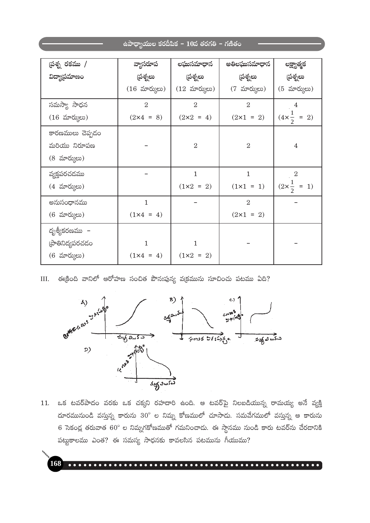| (పశ్న రకము /       | వ్యాసరూప                             | లఘుసమాధాన          | అతిలఘుసమాధాన       |                              |
|--------------------|--------------------------------------|--------------------|--------------------|------------------------------|
|                    |                                      |                    |                    | లక్ష్యాత్మక                  |
| విద్యాప్రమాణం      | స్రత్నలు                             | స్రత్నలు           | స్రత్నలు           | స్రత్నలు                     |
|                    | $(16 \,  \, \text{mV} \, \text{mV})$ | $(12 \text{ mV})$  | (7 మార్కులు)       | $(5 \text{ arc})$            |
| సమస్యా సాధన        | $\overline{2}$                       | $\overline{2}$     | $\overline{2}$     | 4                            |
| $(16 \text{ arc})$ | $(2 \times 4 = 8)$                   | $(2 \times 2 = 4)$ | $(2 \times 1 = 2)$ | $(4 \times \frac{1}{2} = 2)$ |
| కారణములు చెప్పదం   |                                      |                    |                    |                              |
| మరియు నిరూపణ       |                                      | $\overline{2}$     | $\overline{2}$     | $\overline{4}$               |
| (8 మార్కులు)       |                                      |                    |                    |                              |
| వ్యక్తపరచడము       |                                      | $\mathbf{1}$       | $\mathbf{1}$       | $\overline{2}$               |
| (4 మార్కులు)       |                                      | $(1 \times 2 = 2)$ | $(1 \times 1 = 1)$ | $(2 \times \frac{1}{2} = 1)$ |
| అనుసంధానము         | $\mathbf{1}$                         |                    | $\overline{2}$     |                              |
| (6 మార్కులు)       | $(1 \times 4 = 4)$                   |                    | $(2x1 = 2)$        |                              |
| దృశ్యీకరణము –      |                                      |                    |                    |                              |
| (పాతినిద్యపరచడం    | 1                                    | 1                  |                    |                              |
| $(6 \text{ arc})$  | $(1 \times 4 = 4)$                   | $(1 \times 2 = 2)$ |                    |                              |

 $III.$  ఈక్రింది వానిలో ఆరోహణ సంచిత పౌనఃపున్య వక్రమును సూచించు పటము ఏది?



11. ఒక టవర్పాదం వరకు ఒక చక్కని రహదారి ఉంది. ఆ టవర్మ్ నిలబడియున్న రామయ్య అనే వ్యక్తి దూరమునుండి వస్తున్న కారును  $30^{\circ}$  ల నిమ్న కోణములో చూసాదు. సమవేగములో వస్తున్న ఆ కారును 6 సెకండ్ల తరువాత 60° ల నిమ్నగకోణముతో గమనించాదు. ఈ స్థానము నుండి కారు టవర్**ను చేర**డానికి పట్టుకాలము ఎంత? ఈ సమస్య సాధనకు కావలసిన పటమును గీయుము?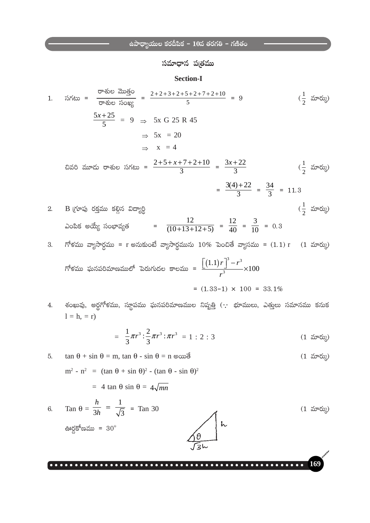సమాధాన పతతము

**Section-I** 

1. సగటు = 
$$
\frac{\cos 3x}{\cos 3x}
$$
 =  $\frac{2+2+3+2+5+2+7+2+10}{5} = 9$  (  $\frac{1}{2} \sin 3x$ )  
\n $\frac{5x+25}{5} = 9 \Rightarrow 5x \text{ G } 25 \text{ R } 45$   
\n $\Rightarrow 5x = 20$   
\n $\Rightarrow x = 4$   
\n2. B [Yt5] of S  
\n3. B [Y5] of S  
\n3. A  
\n5. B  
\n $\cos 3x$  of S  
\n $\cos 3x$  of S  
\n $\cos 3x$  of S  
\n $\cos 3x$  of S  
\n $\cos 3x$  of S  
\n $\cos 3x$  of S  
\n $\cos 3x$  of S  
\n $\cos 3x$  of S  
\n $\cos 3x$  of S  
\n $\cos 3x$  of S  
\n $\cos 3x$  of S  
\n $\cos 3x$  of S  
\n $\cos 3x$  of S  
\n $\cos 3x$  of S  
\n $\cos 3x$  of S  
\n $\cos 3x$  of S  
\n $\cos 3x$  of S  
\n $\cos 3x$  of S  
\n $\cos 3x$  of S  
\n $\cos 3x$  of S  
\n $\cos 3x$  of S  
\n $\cos 3x$  of S  
\n $\cos 3x$  of S  
\n $\cos 3x$  of S  
\n $\cos 3x$  of S  
\n $\cos 3x$  of S  
\n $\cos 3x$  of S  
\n $\cos 3x$  of S  
\n $\cos 3x$  of S  
\n $\cos 3x$  of S  
\n $\cos 3x$  of S  
\n $\cos 3x$  of S  
\n $\cos 3x$  of S  
\n $\cos 3x$  of S  
\n $\cos 3x$  of S  
\n $\cos 3x$  of S  
\n $\cos 3x$  of S  
\n $\cos 3x$  of S  
\n<

గోళము ఘనపరిమాణములో పెరుగుదల కాలము = 
$$
\frac{\left[ (1.1)r \right]^3 - r^3}{r^3} \times 100
$$
 = 13.1%

శంఖువు, అర్థగోళము, స్థూపము ఘనపరిమాణముల నిష్పత్తి ( $\cdot\cdot$  భూములు, ఎత్తులు సమానము కనుక 4.  $1 = h, = r$ 

$$
= \frac{1}{3}\pi r^3 : \frac{2}{3}\pi r^3 : \pi r^3 = 1 : 2 : 3
$$
 (1.500)

169

5. 
$$
\tan \theta + \sin \theta = m, \tan \theta - \sin \theta = n \text{ so } \theta
$$
 (1.  $\sin \theta$ )  
\n $m^2 - n^2 = (\tan \theta + \sin \theta)^2 - (\tan \theta - \sin \theta)^2$   
\n $= 4 \tan \theta \sin \theta = 4\sqrt{mn}$   
\n6.  $\tan \theta = \frac{h}{3h} = \frac{1}{\sqrt{3}} = \tan 30$  (1.  $\sin \theta$ )  
\n $\tan \theta = \frac{h}{3h} = \frac{1}{\sqrt{3}} = \tan 30$  (2.  $\sin \theta$ )  
\n $\tan \theta = \frac{h}{3h} = \frac{1}{\sqrt{3}} = \tan 30$ 

ఊర్దకోణము =  $30^{\circ}$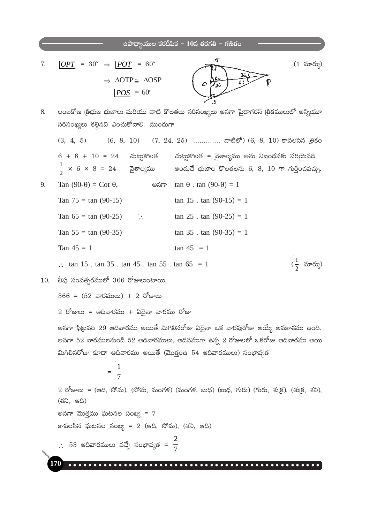$$
c \frac{1}{2} \frac{1}{2} \frac{1}{2} \frac{1}{2} \frac{1}{2} \frac{1}{2} \frac{1}{2} \frac{1}{2} \frac{1}{2} \frac{1}{2} \frac{1}{2} \frac{1}{2} \frac{1}{2} \frac{1}{2} \frac{1}{2} \frac{1}{2} \frac{1}{2} \frac{1}{2} \frac{1}{2} \frac{1}{2} \frac{1}{2} \frac{1}{2} \frac{1}{2} \frac{1}{2} \frac{1}{2} \frac{1}{2} \frac{1}{2} \frac{1}{2} \frac{1}{2} \frac{1}{2} \frac{1}{2} \frac{1}{2} \frac{1}{2} \frac{1}{2} \frac{1}{2} \frac{1}{2} \frac{1}{2} \frac{1}{2} \frac{1}{2} \frac{1}{2} \frac{1}{2} \frac{1}{2} \frac{1}{2} \frac{1}{2} \frac{1}{2} \frac{1}{2} \frac{1}{2} \frac{1}{2} \frac{1}{2} \frac{1}{2} \frac{1}{2} \frac{1}{2} \frac{1}{2} \frac{1}{2} \frac{1}{2} \frac{1}{2} \frac{1}{2} \frac{1}{2} \frac{1}{2} \frac{1}{2} \frac{1}{2} \frac{1}{2} \frac{1}{2} \frac{1}{2} \frac{1}{2} \frac{1}{2} \frac{1}{2} \frac{1}{2} \frac{1}{2} \frac{1}{2} \frac{1}{2} \frac{1}{2} \frac{1}{2} \frac{1}{2} \frac{1}{2} \frac{1}{2} \frac{1}{2} \frac{1}{2} \frac{1}{2} \frac{1}{2} \frac{1}{2} \frac{1}{2} \frac{1}{2} \frac{1}{2} \frac{1}{2} \frac{1}{2} \frac{1}{2} \frac{1}{2} \frac{1}{2} \frac{1}{2} \frac{1}{2} \frac{1}{2} \frac{1}{2} \frac{1}{2} \frac{1}{2} \frac{1}{2} \frac{1}{2} \frac{1}{2} \frac{1}{2} \frac{1}{2} \frac{1}{2} \frac{1}{2} \frac{1}{2} \frac{1}{2} \frac{1}{2} \frac{1}{2} \frac{1}{2} \frac{1}{2}
$$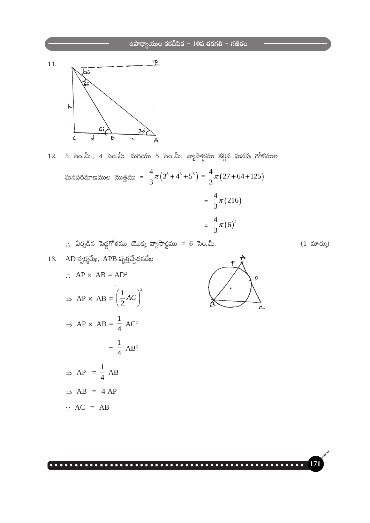

3 సెం.మీ., 4 సెం.మీ. మరియు 5 సెం.మీ. వ్యాసార్ధము కల్గిన ఘనపు గోళముల  $12.$ ఘనపరిమాణముల మొత్తము =  $\frac{4}{3}\pi(3^3+4^3+5^3)=\frac{4}{3}\pi(27+64+125)$  $=\frac{4}{3}\pi(216)$ 

$$
= \frac{4}{3}\pi (6)^3
$$

Ċ.

 $\therefore$  ఏర్పడిన పెద్దగోళము యొక్క వ్యాసార్థము = 6 సెం.మీ.

 $(1 \nvert \nabla \mathfrak{S}^{\mathfrak{p}})$ 

 $17$ 

13. AD ≼ √p  
\n∴ AP × AB = AD<sup>2</sup>  
\n⇒ AP × AB = 
$$
\left(\frac{1}{2}AC\right)^2
$$
  
\n⇒ AP × AB =  $\frac{1}{4}AC^2$   
\n $= \frac{1}{4} AB^2$   
\n⇒ AP =  $\frac{1}{4} AB$   
\n⇒ AB = 4 AP  
\n∴ AC = AB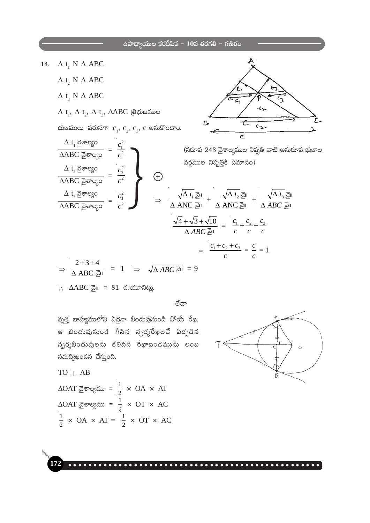- $\Delta$  t<sub>1</sub> N  $\Delta$  ABC 14.
	- $\Delta$  t, N  $\Delta$  ABC
	- $\Delta$  t<sub>3</sub> N  $\Delta$  ABC

 $\Delta$  t<sub>1</sub> వైశాల్యం

 $\overline{\triangle ABC}$   $\overline{\triangle}$ ಕೌಲ್ಯಂ

 $\Delta$  t<sub>1</sub>,  $\Delta$  t<sub>2</sub>,  $\Delta$  t<sub>3</sub>,  $\Delta$ ABC @ @ @ @ @  $\Delta$ 

భుజములు వరుసగా  $c_1, c_2, c_3, c$  అనుకొందాం.

 $\frac{c_1^2}{c^2}$ 



(సరూప 243 వైశాల్యముల నిష్పతి వాటి అనురూప భుజాల వర్గముల నిష్పత్తికి సమానం)

$$
\frac{\Delta t_2 \overline{g} \overline{\sigma} \sigma g_0}{\Delta ABC \overline{g} \overline{\sigma} \sigma g_0} = \frac{c_2^2}{c^2}
$$
\n
$$
\frac{\Delta t_3 \overline{g} \sigma g_0}{\Delta ABC \overline{g} \sigma g_0} = \frac{c_3^2}{c^2}
$$
\n
$$
\Rightarrow \frac{\sqrt{\Delta t_1} \overline{g}l}{\Delta ANC \overline{g}l} + \frac{\sqrt{\Delta t_2} \overline{g}l}{\Delta ANC \overline{g}l} + \frac{\sqrt{\Delta t_3} \overline{g}l}{\Delta ABC \overline{g}l}
$$
\n
$$
\frac{\sqrt{4} + \sqrt{3} + \sqrt{10}}{\Delta ABC \overline{g}l} = \frac{c_1}{c} + \frac{c_2}{c} + \frac{c_3}{c}
$$
\n
$$
= \frac{c_1 + c_2 + c_3}{c} = \frac{c}{c} = 1
$$
\n
$$
\Rightarrow \frac{2 + 3 + 4}{\Delta ABC \overline{g}l} = 1 \Rightarrow \sqrt{\Delta ABC \overline{g}l} = 9
$$

 $\therefore$   $\triangle$ ABC all = 81 చ.యూనిట్లు.

ಠೆದ್

వృత్త బాహ్యములోని ఏదైనా బిందువునుండి పోయే రేఖ, ఆ బిందువునుండి గీసిన న్పర్శకేఖలచే ఏర్పడిన స్పర్శబిందువులను కలిపిన రేఖాఖండమును లంబ సమద్విఖండన చేస్తుంది.

 $TO$  | AB  $\triangle$ OAT వైశాల్యము =  $\frac{1}{2} \times$  OA  $\times$  AT  $\triangle$ OAT వైశాల్యము =  $\frac{1}{2} \times$  OT  $\times$  AC  $\frac{1}{2}$  x OA x AT =  $\frac{1}{2}$  x OT x AC

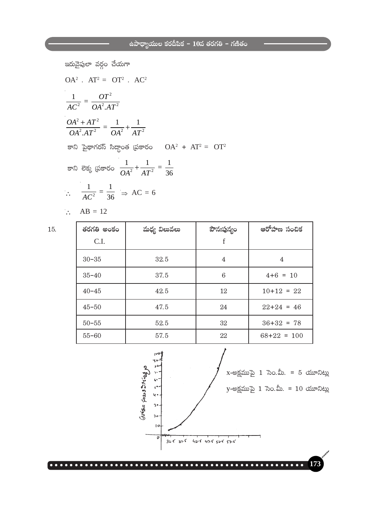$$
αδωαδωασασ χαδασ σασα
$$
\n
$$
OA2 \cdot AT2 = OT2 \cdot AC2
$$
\n
$$
\frac{1}{AC2} = \frac{OT2}{OA2 \cdot AT2} = \frac{1}{OA2 + \frac{1}{AT2}}
$$
\n
$$
α2 + AT2 = \frac{1}{OA2} + \frac{1}{AT2}
$$
\n
$$
α2 = √α2 + AT2 = AT2 = AT2 = AT2 = AT2 = AT2 = AT2 = AT2 = AT2 = AT2 = AT2 = AT2 = AT2 = AT2 = AT2 = AT2 = AT2 = AT2 = AT2 = AT2 = AT2 = AT2 = AT2 = AT2 = AT2 = AT2 = AT2 = AT2 = AT2 = AT2 = AT2 = AT2 = AT2 = AT2 = AT2 = AT2 = AT2 = AT2 = AT2 = AT2 = AT2 = AT2 = AT2 = AT2 = AT2 = AT2 = AT2 = AT2 = AT2 = AT2 = AT2 = AT2 = AT2 = AT2
$$

15.

| తరగతి అంకం | మధ్య విలువలు | పౌనఃపున్యం | ఆరోహణ సంచిక   |
|------------|--------------|------------|---------------|
| C.I.       |              | f          |               |
| $30 - 35$  | 32.5         | 4          | 4             |
| $35 - 40$  | 37.5         | 6          | $4+6 = 10$    |
| $40 - 45$  | 42.5         | 12         | $10+12 = 22$  |
| $45 - 50$  | 47.5         | 24         | $22+24 = 46$  |
| $50 - 55$  | 52.5         | 32         | $36+32 = 78$  |
| $55 - 60$  | 57.5         | 22         | $68+22 = 100$ |

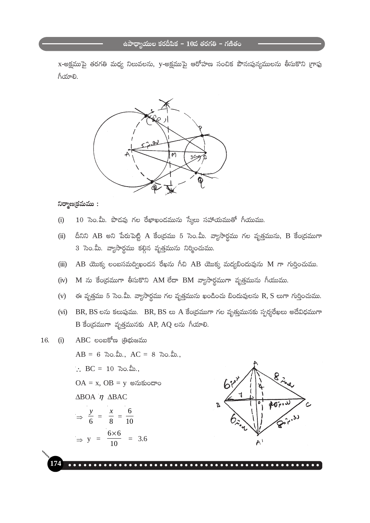x-అక్షముపై తరగతి మధ్య నిలువలను, y-అక్షముపై ఆరోహణ సంచిక పౌనఃపున్యములను తీసుకొని (గాఫు గీయాలి.



#### $\mathcal{D}$ ర్మాణ(కమము:

- 10 సెం.మీ. పొడవు గల రేఖాఖండమును స్కేలు సహాయముతో గీయుము.  $(i)$
- దీనిని AB అని పేరుపెట్టి A కేంద్రము 5 సెం.మీ. వ్యాసార్ధము గల వృత్తమును, B కేంద్రముగా  $(ii)$ 3 సెం.మీ. వ్యాసార్థము కల్గిన వృత్తమును నిర్మించుము.
- $AB$  యొక్క లంబసమద్విఖండన రేఖను గీచి  $AB$  యొక్క మద్యబిందువును  $M$  గా గుర్తించుము.  $(iii)$
- M ను కేంద్రముగా తీసుకొని AM లేదా BM వ్యాసార్థముగా వృత్తమును గీయుము.  $(iv)$
- ఈ వృత్తము 5 సెం.మీ. వ్యాసార్థము గల వృత్తమును ఖండించు బిందువులను R, S లుగా గుర్తించుము.  $(v)$
- (vi) BR, BS లను కలుపుము. BR, BS లు A కేంద్రముగా గల వృత్తమునకు స్పర్శరేఖలు అదేవిధముగా B కేంద్రముగా వృత్తమునకు AP, AQ లను గీయాలి.

ABC లంబకోణ (తిభుజము 16.  $(i)$ 

> $AB = 6$  సెం.మీ.,  $AC = 8$  సెం.మీ.,  $\therefore$  BC = 10  $\frac{1}{2}$  80.  $\frac{1}{2}$ .  $OA = x$ ,  $OB = y$  అనుకుందాం  $\triangle$ BOA  $\eta$   $\triangle$ BAC  $\Rightarrow \frac{y}{6} = \frac{x}{8} = \frac{6}{10}$  $\Rightarrow$  y =  $\frac{6 \times 6}{10}$  = 3.6

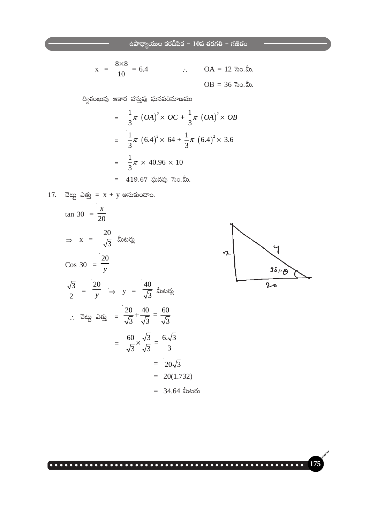$$
x = \frac{8 \times 8}{10} = 6.4
$$
   
  $\therefore$  OA = 12  $\sqrt[3]{2} \cdot \sqrt{2}$ .  
 OB = 36  $\sqrt[3]{2} \cdot \sqrt{2}$ .

ద్విశంఖువు ఆకార వస్తువు ఘనపరిమాణము

$$
= \frac{1}{3}\pi (OA)^{2} \times OC + \frac{1}{3}\pi (OA)^{2} \times OB
$$
  

$$
= \frac{1}{3}\pi (6.4)^{2} \times 64 + \frac{1}{3}\pi (6.4)^{2} \times 3.6
$$
  

$$
= \frac{1}{3}\pi \times 40.96 \times 10
$$
  

$$
= 419.67 \text{ and } \cos 30.8.
$$

17. చెట్టు ఎత్తు = 
$$
x + y
$$
 అనుకుందాం.

$$
\tan 30 = \frac{x}{20}
$$
\n
$$
\Rightarrow x = \frac{20}{\sqrt{3}} \text{ and } \sin 30 = \frac{20}{y}
$$
\n
$$
\cos 30 = \frac{20}{y}
$$
\n
$$
\frac{\sqrt{3}}{2} = \frac{20}{y} \Rightarrow y = \frac{40}{\sqrt{3}} \text{ and } \sin 30 = \frac{20}{\sqrt{3}} + \frac{40}{\sqrt{3}} = \frac{60}{\sqrt{3}}
$$
\n
$$
\therefore \text{ } \vec{a} \text{ and } \vec{a} \text{ and } \vec{b} \text{ are } \vec{a} \text{ and } \vec{b} \text{ are } \vec{a} \text{ and } \vec{b} \text{ and } \vec{c} \text{ are } \vec{a} \text{ and } \vec{c} \text{ and } \vec{c} \text{ are } \vec{a} \text{ and } \vec{c} \text{ and } \vec{c} \text{ are } \vec{a} \text{ and } \vec{c} \text{ and } \vec{c} \text{ are } \vec{a} \text{ and } \vec{c} \text{ and } \vec{c} \text{ are } \vec{a} \text{ and } \vec{c} \text{ and } \vec{c} \text{ are } \vec{a} \text{ and } \vec{c} \text{ and } \vec{c} \text{ are } \vec{a} \text{ and } \vec{c} \text{ and } \vec{c} \text{ are } \vec{a} \text{ and } \vec{c} \text{ and } \vec{c} \text{ and } \vec{c} \text{ are } \vec{a} \text{ and } \vec{c} \text{ and } \vec{c} \text{ and } \vec{c} \text{ are } \vec{a} \text{ and } \vec{c} \text{ and } \vec{c} \text{ and } \vec{c} \text{ and } \vec{c} \text{ and } \vec{c} \text{ and } \vec{c} \text{ and } \vec{c} \text{ and } \vec{c} \text{ and } \vec{c} \text{ and } \vec{c} \text{ and } \vec{c} \text{ and } \vec{c} \text{ and } \vec{c} \text{ and } \vec{c} \text{ and } \vec{c} \text{ and } \vec{c} \text{ and } \vec{c} \text{ and } \vec{c} \text{ and } \vec{c} \text{ and } \vec{c} \text{ and }
$$



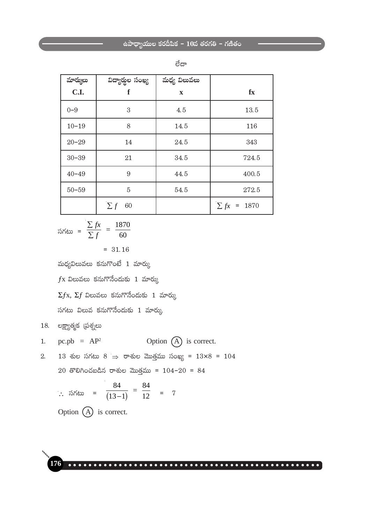| మార్ములు  | విద్యార్థల సంఖ్య | మధ్య విలువలు |                  |
|-----------|------------------|--------------|------------------|
| C.I.      | f                | $\mathbf x$  | $f_{\rm X}$      |
| $0 - 9$   | 3                | 4.5          | 13.5             |
| $10 - 19$ | 8                | 14.5         | 116              |
| $20 - 29$ | 14               | 24.5         | 343              |
| $30 - 39$ | 21               | 34.5         | 724.5            |
| $40 - 49$ | 9                | 44.5         | 400.5            |
| $50 - 59$ | 5                | 54.5         | 272.5            |
|           | $\sum f$<br>60   |              | $\sum fx = 1870$ |

| ×<br>۰, | ۰.<br>×<br>I<br>VW U |
|---------|----------------------|
|         |                      |

$$
\sinh 2x = \frac{\sum fx}{\sum f} = \frac{1870}{60} = 31.16
$$

మధ్యవిలువలు కనుగొంటే  $1$  మార్కు

 $f$ x విలువలు కనుగొనేందుకు 1 మార్కు

 $\Sigma f$ x,  $\Sigma f$  విలువలు కనుగొనేందుకు 1 మార్కు

సగటు విలువ కనుగొనేందుకు  $1$  మార్కు

 $18.$  లక్ష్యాత్మక (పశ్నలు

1. pc.pb = 
$$
AP^2
$$
 Option (A) is correct.

2. 13 శుల సగటు 8  $\Rightarrow$  రాశుల మొత్తము సంఖ్య = 13×8 = 104

20 తొలిగించబడిన రాశుల మొత్తము =  $104-20 = 84$ 

$$
\therefore \quad \sinh 2\theta = \frac{84}{(13-1)} = \frac{84}{12} = 7
$$

Option 
$$
(A)
$$
 is correct.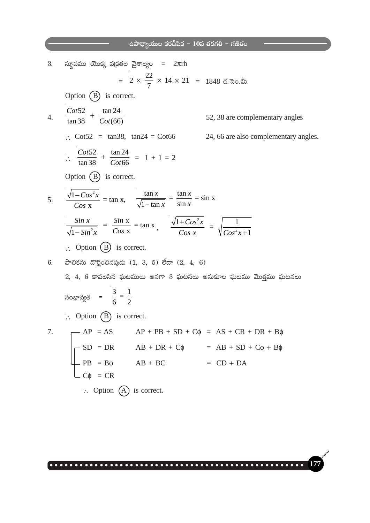a.3. 
$$
\pi
$$
 m/s in the image of  $\pi$  is 3.  $\pi$  m/s in the image of  $\pi$  is 3.  $\pi$  m/s in the image of  $\pi$  is 3.  $\pi$  m/s in the image of  $\pi$  is 3.  $\pi$  m/s in the image of  $\pi$  is 3.  $\pi$  m/s in the image of  $\pi$  is 3.  $\pi$  m/s in the image of  $\pi$  is 3.  $\pi$  m/s in the image of  $\pi$  is 3.  $\pi$  m/s in the image of  $\pi$  is 3.  $\pi$  m/s in the image of  $\pi$  is 3.  $\pi$  m/s in the image of  $\pi$  is 3.  $\pi$  m/s in the image of  $\pi$  is 3.  $\pi$  m/s in the image of  $\pi$  is 3.  $\frac{\pi}{4}$  m s in the image of  $\pi$  is 3.  $\frac{\pi}{4}$  m s in the image of  $\pi$  is 3.  $\frac{\pi}{4}$  m s in the image of  $\pi$  is 3.  $\frac{\pi}{4}$  m s in the image of  $\pi$  is 3.  $\frac{\pi}{4}$  m s in the image of  $\pi$  is 3.  $\frac{\pi}{4}$  m s in the image of  $\pi$  is 3.  $\frac{\pi}{4}$  m s in the image of  $\pi$  is 3.  $\frac{\pi}{4}$  m s in the image of  $\pi$  is 3.  $\frac{\pi}{4}$  m s in the image of  $\pi$  is 3.  $\frac{\pi}{4}$  m s in the image of  $\pi$  is 3.  $\frac{\pi}{4}$  m s in the image of  $\pi$  is 3.  $\frac{\pi}{4}$  m s in the image of  $\pi$  is 3.  $\frac{\pi}{4}$  m s in the image of  $\pi$  is 3.  $\frac{\pi}{4}$  m s in the image of  $\pi$  is 3.  $\frac{\pi}{4}$  m s in the image of  $\pi$  is 3.  $\frac{\pi}{4}$  m s in the image of  $\pi$  is 3. <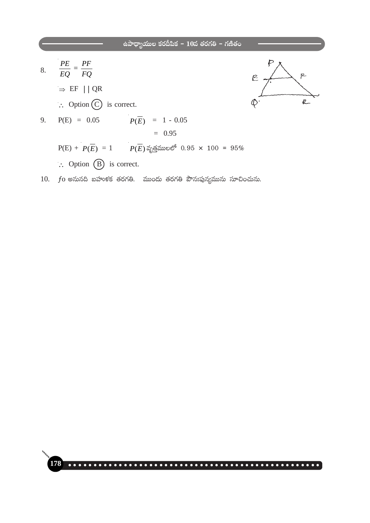